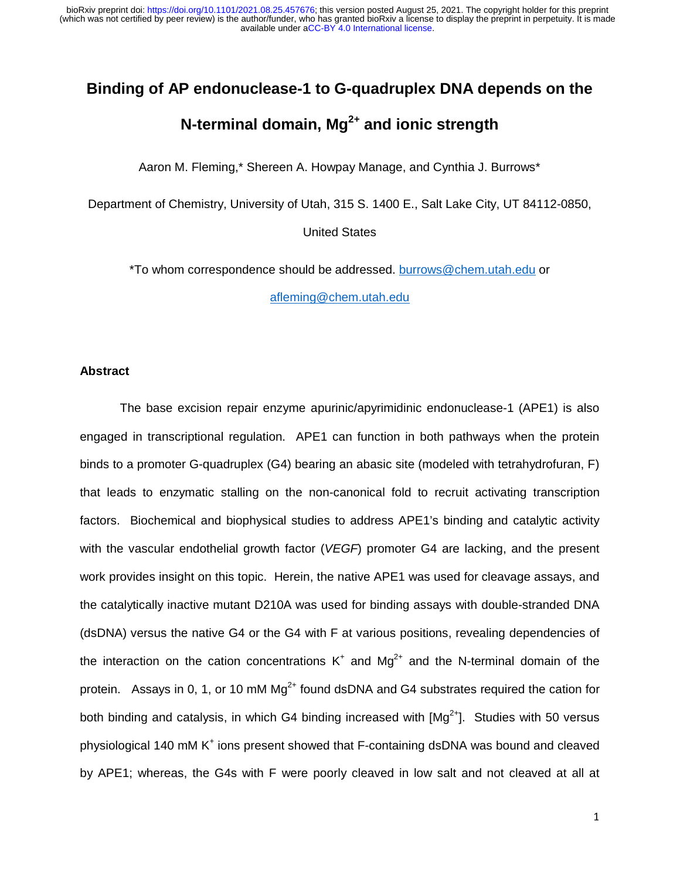# **Binding of AP endonuclease-1 to G-quadruplex DNA depends on the**

# **N-terminal domain, Mg2+ and ionic strength**

Aaron M. Fleming,\* Shereen A. Howpay Manage, and Cynthia J. Burrows\*

Department of Chemistry, University of Utah, 315 S. 1400 E., Salt Lake City, UT 84112-0850,

United States

\*To whom correspondence should be addressed. burrows@chem.utah.edu or

afleming@chem.utah.edu

#### **Abstract**

 The base excision repair enzyme apurinic/apyrimidinic endonuclease-1 (APE1) is also engaged in transcriptional regulation. APE1 can function in both pathways when the protein binds to a promoter G-quadruplex (G4) bearing an abasic site (modeled with tetrahydrofuran, F) that leads to enzymatic stalling on the non-canonical fold to recruit activating transcription factors. Biochemical and biophysical studies to address APE1's binding and catalytic activity with the vascular endothelial growth factor (*VEGF*) promoter G4 are lacking, and the present work provides insight on this topic. Herein, the native APE1 was used for cleavage assays, and the catalytically inactive mutant D210A was used for binding assays with double-stranded DNA (dsDNA) versus the native G4 or the G4 with F at various positions, revealing dependencies of the interaction on the cation concentrations  $K^+$  and Mg<sup>2+</sup> and the N-terminal domain of the protein. Assays in 0, 1, or 10 mM  $Mg^{2+}$  found dsDNA and G4 substrates required the cation for both binding and catalysis, in which G4 binding increased with  $[Mq^{2+}]$ . Studies with 50 versus physiological 140 mM K<sup>+</sup> ions present showed that F-containing dsDNA was bound and cleaved by APE1; whereas, the G4s with F were poorly cleaved in low salt and not cleaved at all at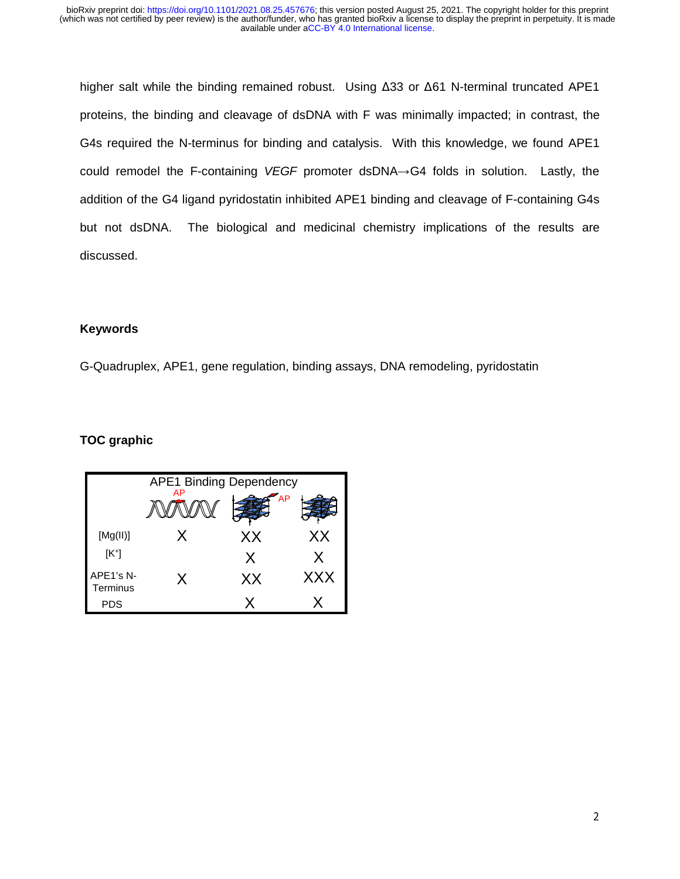higher salt while the binding remained robust. Using Δ33 or Δ61 N-terminal truncated APE1 proteins, the binding and cleavage of dsDNA with F was minimally impacted; in contrast, the G4s required the N-terminus for binding and catalysis. With this knowledge, we found APE1 could remodel the F-containing *VEGF* promoter dsDNA→G4 folds in solution. Lastly, the addition of the G4 ligand pyridostatin inhibited APE1 binding and cleavage of F-containing G4s but not dsDNA. The biological and medicinal chemistry implications of the results are discussed.

## **Keywords**

G-Quadruplex, APE1, gene regulation, binding assays, DNA remodeling, pyridostatin

# **TOC graphic**

| <b>APE1 Binding Dependency</b> |    |           |            |
|--------------------------------|----|-----------|------------|
|                                | AP | <b>AP</b> |            |
| [Mg(II)]                       | X  | XX        | XX         |
| $[K^+]$                        |    | X         | X          |
| APE1's N-<br>Terminus          | Χ  | XX        | <b>XXX</b> |
| PDS                            |    |           |            |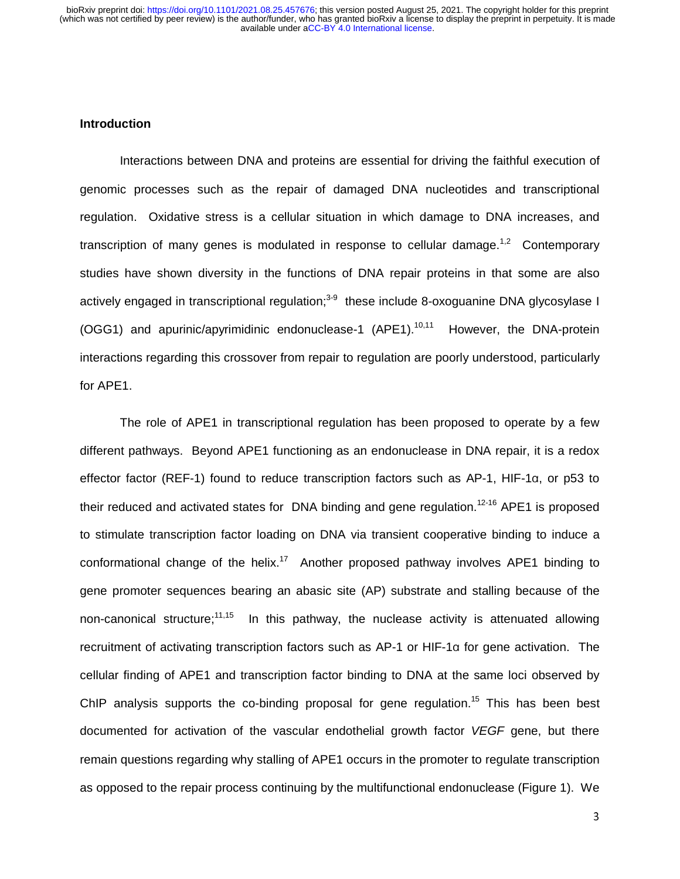#### **Introduction**

Interactions between DNA and proteins are essential for driving the faithful execution of genomic processes such as the repair of damaged DNA nucleotides and transcriptional regulation. Oxidative stress is a cellular situation in which damage to DNA increases, and transcription of many genes is modulated in response to cellular damage.<sup>1,2</sup> Contemporary studies have shown diversity in the functions of DNA repair proteins in that some are also actively engaged in transcriptional regulation;<sup>3-9</sup> these include 8-oxoguanine DNA glycosylase I (OGG1) and apurinic/apyrimidinic endonuclease-1 (APE1).<sup>10,11</sup> However, the DNA-protein interactions regarding this crossover from repair to regulation are poorly understood, particularly for APE1.

The role of APE1 in transcriptional regulation has been proposed to operate by a few different pathways. Beyond APE1 functioning as an endonuclease in DNA repair, it is a redox effector factor (REF-1) found to reduce transcription factors such as AP-1, HIF-1α, or p53 to their reduced and activated states for DNA binding and gene regulation.<sup>12-16</sup> APE1 is proposed to stimulate transcription factor loading on DNA via transient cooperative binding to induce a conformational change of the helix.<sup>17</sup> Another proposed pathway involves APE1 binding to gene promoter sequences bearing an abasic site (AP) substrate and stalling because of the non-canonical structure;<sup>11,15</sup> In this pathway, the nuclease activity is attenuated allowing recruitment of activating transcription factors such as AP-1 or HIF-1α for gene activation. The cellular finding of APE1 and transcription factor binding to DNA at the same loci observed by ChIP analysis supports the co-binding proposal for gene regulation.<sup>15</sup> This has been best documented for activation of the vascular endothelial growth factor *VEGF* gene, but there remain questions regarding why stalling of APE1 occurs in the promoter to regulate transcription as opposed to the repair process continuing by the multifunctional endonuclease (Figure 1). We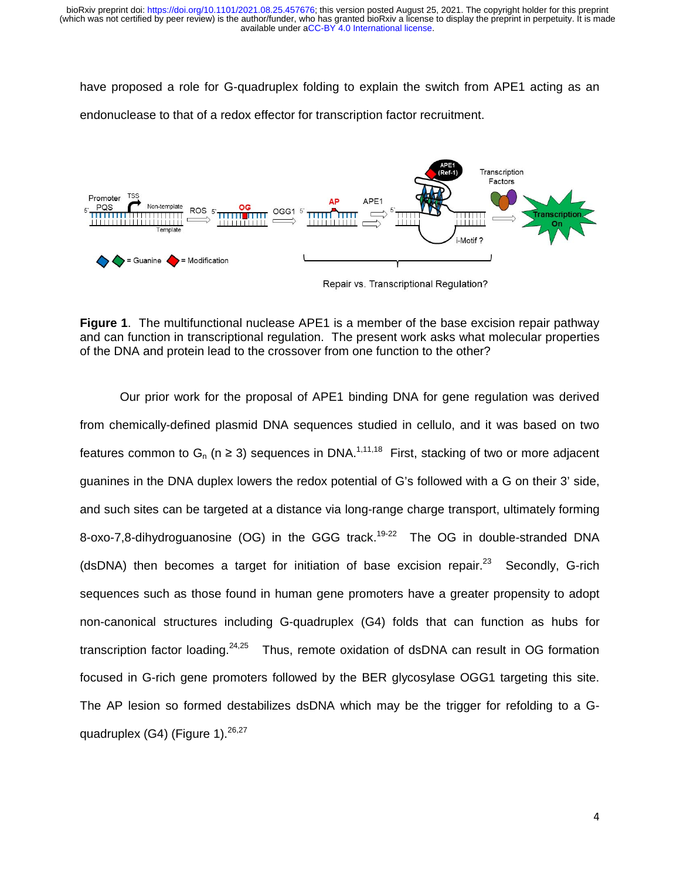have proposed a role for G-quadruplex folding to explain the switch from APE1 acting as an endonuclease to that of a redox effector for transcription factor recruitment.



**Figure 1.** The multifunctional nuclease APE1 is a member of the base excision repair pathway and can function in transcriptional regulation. The present work asks what molecular properties of the DNA and protein lead to the crossover from one function to the other?

Our prior work for the proposal of APE1 binding DNA for gene regulation was derived from chemically-defined plasmid DNA sequences studied in cellulo, and it was based on two features common to  $G_n$  (n  $\geq$  3) sequences in DNA.<sup>1,11,18</sup> First, stacking of two or more adjacent guanines in the DNA duplex lowers the redox potential of G's followed with a G on their 3' side, and such sites can be targeted at a distance via long-range charge transport, ultimately forming 8-oxo-7,8-dihydroguanosine (OG) in the GGG track.<sup>19-22</sup> The OG in double-stranded DNA (dsDNA) then becomes a target for initiation of base excision repair.<sup>23</sup> Secondly, G-rich sequences such as those found in human gene promoters have a greater propensity to adopt non-canonical structures including G-quadruplex (G4) folds that can function as hubs for transcription factor loading.  $24,25$  Thus, remote oxidation of dsDNA can result in OG formation focused in G-rich gene promoters followed by the BER glycosylase OGG1 targeting this site. The AP lesion so formed destabilizes dsDNA which may be the trigger for refolding to a Gquadruplex  $(G4)$  (Figure 1).  $26,27$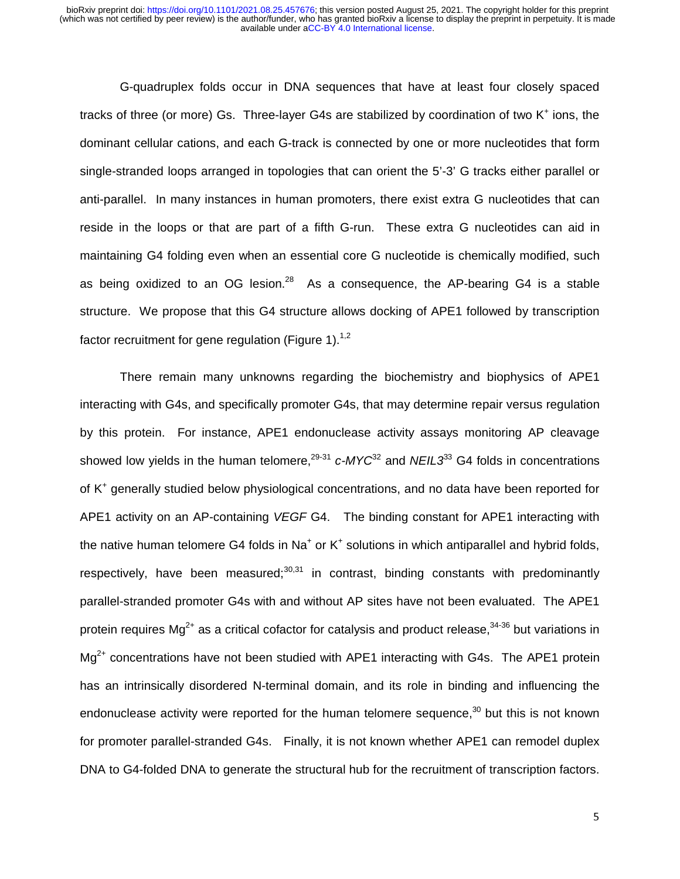G-quadruplex folds occur in DNA sequences that have at least four closely spaced tracks of three (or more) Gs. Three-layer G4s are stabilized by coordination of two  $K^+$  ions, the dominant cellular cations, and each G-track is connected by one or more nucleotides that form single-stranded loops arranged in topologies that can orient the 5'-3' G tracks either parallel or anti-parallel. In many instances in human promoters, there exist extra G nucleotides that can reside in the loops or that are part of a fifth G-run. These extra G nucleotides can aid in maintaining G4 folding even when an essential core G nucleotide is chemically modified, such as being oxidized to an OG lesion.<sup>28</sup> As a consequence, the AP-bearing G4 is a stable structure. We propose that this G4 structure allows docking of APE1 followed by transcription factor recruitment for gene regulation (Figure 1).<sup>1,2</sup>

There remain many unknowns regarding the biochemistry and biophysics of APE1 interacting with G4s, and specifically promoter G4s, that may determine repair versus regulation by this protein. For instance, APE1 endonuclease activity assays monitoring AP cleavage showed low yields in the human telomere,<sup>29-31</sup> *c-MYC*<sup>32</sup> and *NEIL3*<sup>33</sup> G4 folds in concentrations of K<sup>+</sup> generally studied below physiological concentrations, and no data have been reported for APE1 activity on an AP-containing *VEGF* G4. The binding constant for APE1 interacting with the native human telomere G4 folds in Na<sup>+</sup> or K<sup>+</sup> solutions in which antiparallel and hybrid folds, respectively, have been measured; $30,31$  in contrast, binding constants with predominantly parallel-stranded promoter G4s with and without AP sites have not been evaluated. The APE1 protein requires  $Mg^{2+}$  as a critical cofactor for catalysis and product release,  $34-36$  but variations in  $Mg^{2+}$  concentrations have not been studied with APE1 interacting with G4s. The APE1 protein has an intrinsically disordered N-terminal domain, and its role in binding and influencing the endonuclease activity were reported for the human telomere sequence, $30$  but this is not known for promoter parallel-stranded G4s. Finally, it is not known whether APE1 can remodel duplex DNA to G4-folded DNA to generate the structural hub for the recruitment of transcription factors.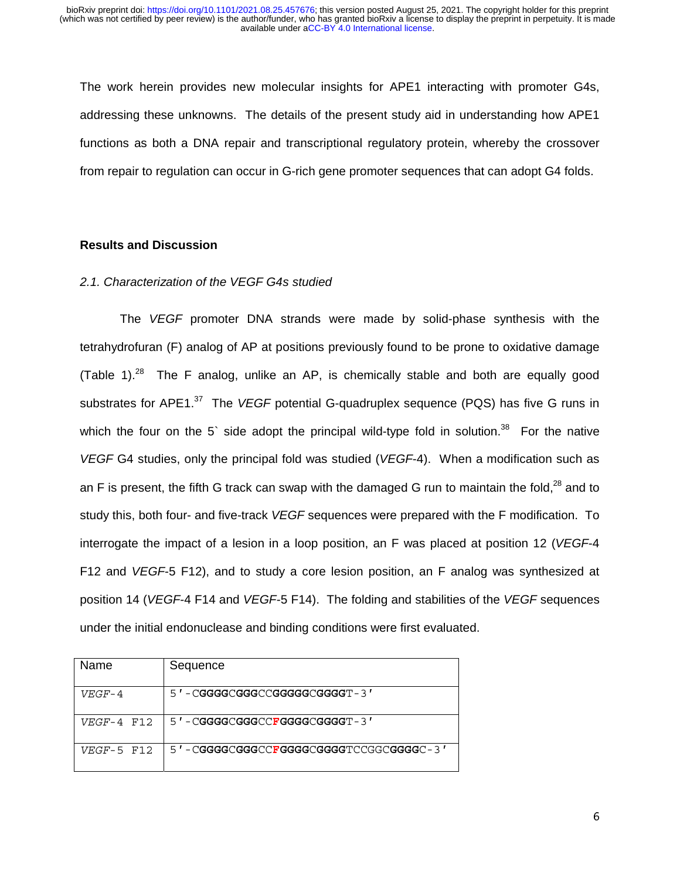The work herein provides new molecular insights for APE1 interacting with promoter G4s, addressing these unknowns. The details of the present study aid in understanding how APE1 functions as both a DNA repair and transcriptional regulatory protein, whereby the crossover from repair to regulation can occur in G-rich gene promoter sequences that can adopt G4 folds.

#### **Results and Discussion**

#### *2.1. Characterization of the VEGF G4s studied*

 The *VEGF* promoter DNA strands were made by solid-phase synthesis with the tetrahydrofuran (F) analog of AP at positions previously found to be prone to oxidative damage (Table 1).<sup>28</sup> The F analog, unlike an AP, is chemically stable and both are equally good substrates for APE1.37 The *VEGF* potential G-quadruplex sequence (PQS) has five G runs in which the four on the 5° side adopt the principal wild-type fold in solution.<sup>38</sup> For the native *VEGF* G4 studies, only the principal fold was studied (*VEGF*-4). When a modification such as an F is present, the fifth G track can swap with the damaged G run to maintain the fold,<sup>28</sup> and to study this, both four- and five-track *VEGF* sequences were prepared with the F modification. To interrogate the impact of a lesion in a loop position, an F was placed at position 12 (*VEGF*-4 F12 and *VEGF*-5 F12), and to study a core lesion position, an F analog was synthesized at position 14 (*VEGF*-4 F14 and *VEGF*-5 F14). The folding and stabilities of the *VEGF* sequences under the initial endonuclease and binding conditions were first evaluated.

| Name         | Sequence                           |
|--------------|------------------------------------|
| $VEGF-4$     | 5 ' - CGGGGCGGGCCGGGGGCGGGGT - 3 ' |
| $VEGF-4$ F12 | 5 ' - CGGGGCGGGCCFGGGGCGGGGT - 3 ' |
| $VEGF-5$ F12 |                                    |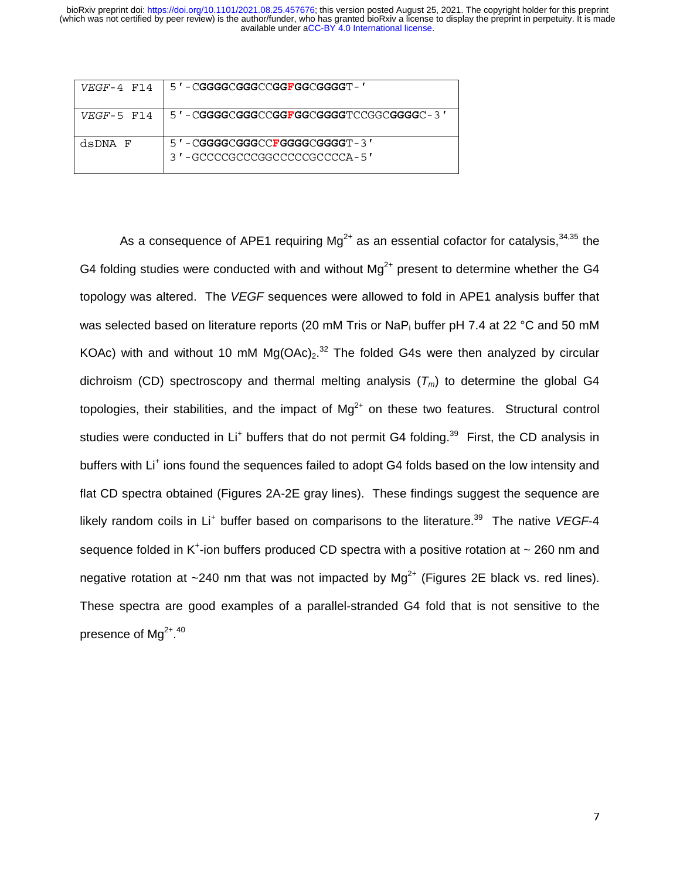| $VEGF-4$ F14 | 5 ' - CGGGGCGGGCCGGFGGCGGGGT - '                                          |
|--------------|---------------------------------------------------------------------------|
| $VEGF-5$ F14 | 5'-CGGGGCGGGCCGGFGGCGGGGTCCGGCGGGGGC-3'                                   |
| dsDNA F      | $5'$ - $CGGGCGGGCCFGGGGCGGGGT - 3'$<br>3 ' -GCCCCGCCCGGCCCCCCGCCCCA - 5 ' |
|              |                                                                           |

As a consequence of APE1 requiring  $Mq^{2+}$  as an essential cofactor for catalysis,  $34,35$  the G4 folding studies were conducted with and without  $Mg^{2+}$  present to determine whether the G4 topology was altered. The *VEGF* sequences were allowed to fold in APE1 analysis buffer that was selected based on literature reports (20 mM Tris or NaP<sub>i</sub> buffer pH 7.4 at 22 °C and 50 mM KOAc) with and without 10 mM  $Mg(OAc)<sub>2</sub>$ .<sup>32</sup> The folded G4s were then analyzed by circular dichroism (CD) spectroscopy and thermal melting analysis  $(T_m)$  to determine the global G4 topologies, their stabilities, and the impact of  $Mg^{2+}$  on these two features. Structural control studies were conducted in Li<sup>+</sup> buffers that do not permit G4 folding.<sup>39</sup> First, the CD analysis in buffers with Li<sup>+</sup> ions found the sequences failed to adopt G4 folds based on the low intensity and flat CD spectra obtained (Figures 2A-2E gray lines). These findings suggest the sequence are likely random coils in Li<sup>+</sup> buffer based on comparisons to the literature.<sup>39</sup> The native *VEGF*-4 sequence folded in K<sup>+</sup>-ion buffers produced CD spectra with a positive rotation at  $\sim$  260 nm and negative rotation at  $\sim$ 240 nm that was not impacted by Mg<sup>2+</sup> (Figures 2E black vs. red lines). These spectra are good examples of a parallel-stranded G4 fold that is not sensitive to the presence of Mg $^{\mathrm{2+,40}}$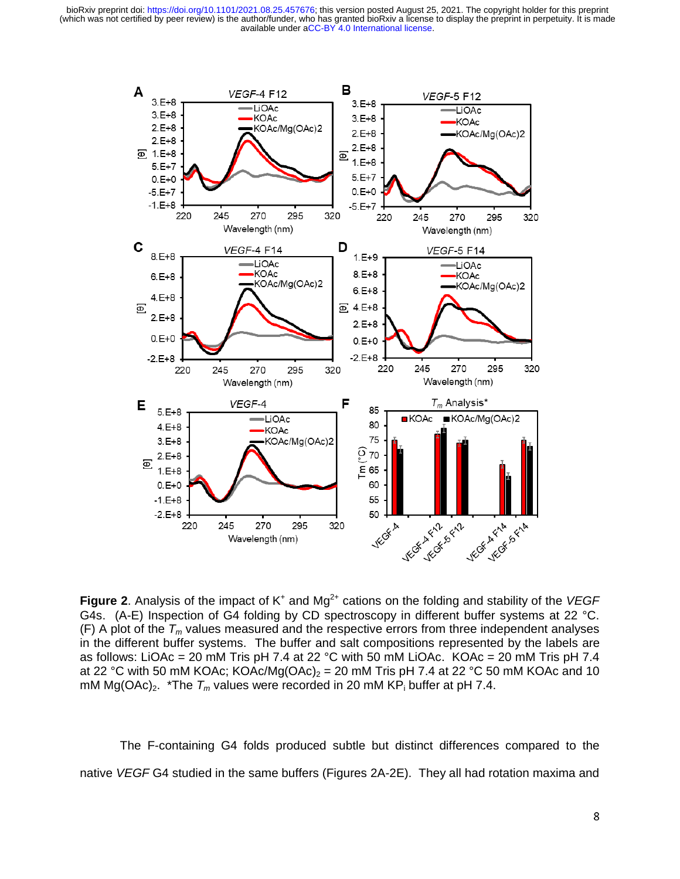

Figure 2. Analysis of the impact of K<sup>+</sup> and Mg<sup>2+</sup> cations on the folding and stability of the VEGF G4s. (A-E) Inspection of G4 folding by CD spectroscopy in different buffer systems at 22 °C.  $(F)$  A plot of the  $T_m$  values measured and the respective errors from three independent analyses in the different buffer systems. The buffer and salt compositions represented by the labels are as follows: LiOAc = 20 mM Tris pH 7.4 at 22 °C with 50 mM LiOAc. KOAc = 20 mM Tris pH 7.4 at 22 °C with 50 mM KOAc; KOAc/Mg(OAc)<sub>2</sub> = 20 mM Tris pH 7.4 at 22 °C 50 mM KOAc and 10 mM Mg(OAc)<sub>2</sub>. \*The  $T_m$  values were recorded in 20 mM KP<sub>i</sub> buffer at pH 7.4.

The F-containing G4 folds produced subtle but distinct differences compared to the native *VEGF* G4 studied in the same buffers (Figures 2A-2E). They all had rotation maxima and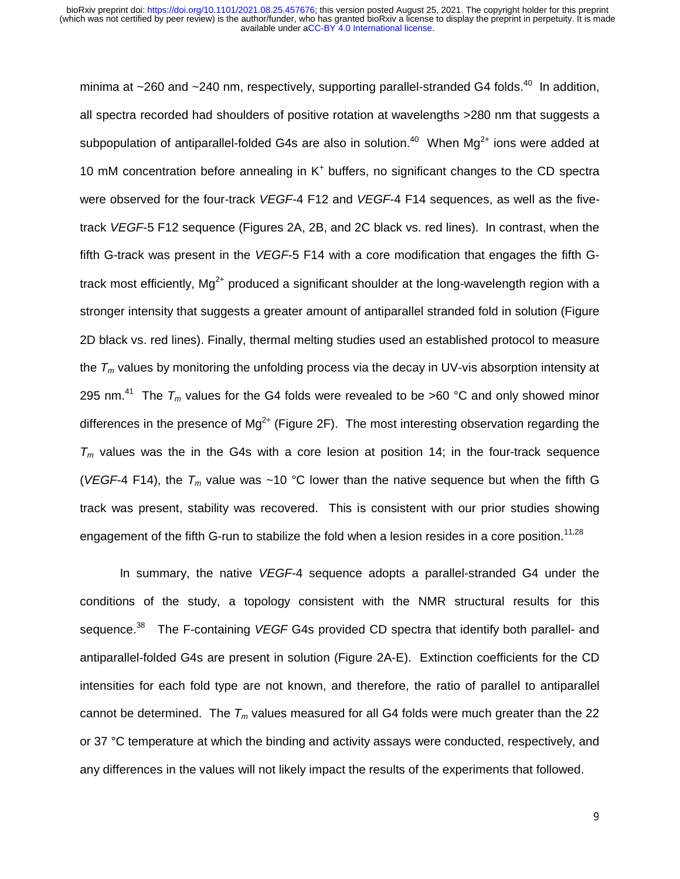minima at  $\sim$ 260 and  $\sim$ 240 nm, respectively, supporting parallel-stranded G4 folds.<sup>40</sup> In addition, all spectra recorded had shoulders of positive rotation at wavelengths >280 nm that suggests a subpopulation of antiparallel-folded G4s are also in solution.<sup>40</sup> When  $Mq^{2+}$  ions were added at 10 mM concentration before annealing in K<sup>+</sup> buffers, no significant changes to the CD spectra were observed for the four-track *VEGF*-4 F12 and *VEGF*-4 F14 sequences, as well as the fivetrack *VEGF*-5 F12 sequence (Figures 2A, 2B, and 2C black vs. red lines). In contrast, when the fifth G-track was present in the *VEGF*-5 F14 with a core modification that engages the fifth Gtrack most efficiently.  $Ma^{2+}$  produced a significant shoulder at the long-wavelength region with a stronger intensity that suggests a greater amount of antiparallel stranded fold in solution (Figure 2D black vs. red lines). Finally, thermal melting studies used an established protocol to measure the  $T_m$  values by monitoring the unfolding process via the decay in UV-vis absorption intensity at 295 nm.<sup>41</sup> The  $T_m$  values for the G4 folds were revealed to be >60 °C and only showed minor differences in the presence of  $Mg^{2+}$  (Figure 2F). The most interesting observation regarding the  $T_m$  values was the in the G4s with a core lesion at position 14; in the four-track sequence (*VEGF*-4 F14), the  $T_m$  value was ~10 °C lower than the native sequence but when the fifth G track was present, stability was recovered. This is consistent with our prior studies showing engagement of the fifth G-run to stabilize the fold when a lesion resides in a core position.<sup>11,28</sup>

 In summary, the native *VEGF*-4 sequence adopts a parallel-stranded G4 under the conditions of the study, a topology consistent with the NMR structural results for this sequence.<sup>38</sup> The F-containing *VEGF* G4s provided CD spectra that identify both parallel- and antiparallel-folded G4s are present in solution (Figure 2A-E). Extinction coefficients for the CD intensities for each fold type are not known, and therefore, the ratio of parallel to antiparallel cannot be determined. The  $T_m$  values measured for all G4 folds were much greater than the 22 or 37 °C temperature at which the binding and activity assays were conducted, respectively, and any differences in the values will not likely impact the results of the experiments that followed.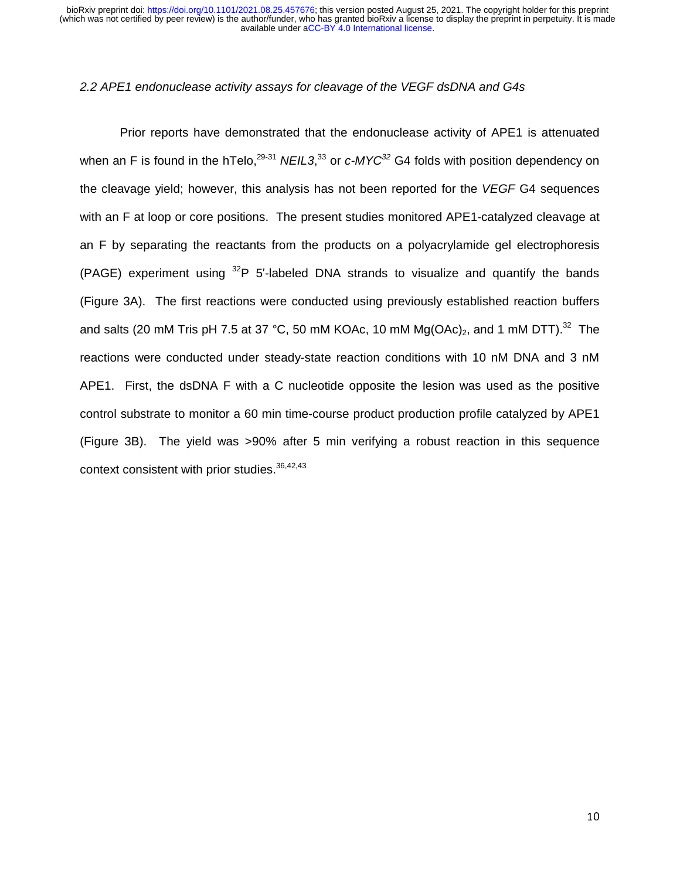### *2.2 APE1 endonuclease activity assays for cleavage of the VEGF dsDNA and G4s*

 Prior reports have demonstrated that the endonuclease activity of APE1 is attenuated when an F is found in the hTelo,<sup>29-31</sup> NEIL3,<sup>33</sup> or *c-MYC*<sup>32</sup> G4 folds with position dependency on the cleavage yield; however, this analysis has not been reported for the *VEGF* G4 sequences with an F at loop or core positions. The present studies monitored APE1-catalyzed cleavage at an F by separating the reactants from the products on a polyacrylamide gel electrophoresis (PAGE) experiment using  ${}^{32}P$  5'-labeled DNA strands to visualize and quantify the bands (Figure 3A). The first reactions were conducted using previously established reaction buffers and salts (20 mM Tris pH 7.5 at 37 °C, 50 mM KOAc, 10 mM  $Mg(OAc)_2$ , and 1 mM DTT).<sup>32</sup> The reactions were conducted under steady-state reaction conditions with 10 nM DNA and 3 nM APE1. First, the dsDNA F with a C nucleotide opposite the lesion was used as the positive control substrate to monitor a 60 min time-course product production profile catalyzed by APE1 (Figure 3B). The yield was >90% after 5 min verifying a robust reaction in this sequence context consistent with prior studies.<sup>36,42,43</sup>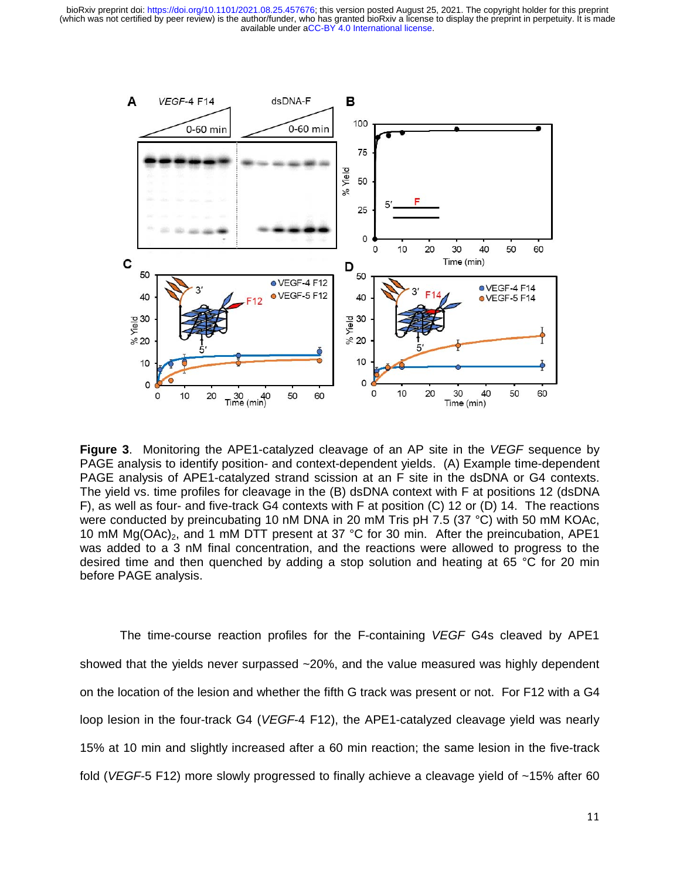

**Figure 3**. Monitoring the APE1-catalyzed cleavage of an AP site in the *VEGF* sequence by PAGE analysis to identify position- and context-dependent yields. (A) Example time-dependent PAGE analysis of APE1-catalyzed strand scission at an F site in the dsDNA or G4 contexts. The yield vs. time profiles for cleavage in the (B) dsDNA context with F at positions 12 (dsDNA F), as well as four- and five-track G4 contexts with F at position (C) 12 or (D) 14. The reactions were conducted by preincubating 10 nM DNA in 20 mM Tris pH 7.5 (37 °C) with 50 mM KOAc, 10 mM  $Mg(OAc)_2$ , and 1 mM DTT present at 37 °C for 30 min. After the preincubation, APE1 was added to a 3 nM final concentration, and the reactions were allowed to progress to the desired time and then quenched by adding a stop solution and heating at 65 °C for 20 min before PAGE analysis.

The time-course reaction profiles for the F-containing *VEGF* G4s cleaved by APE1 showed that the yields never surpassed ~20%, and the value measured was highly dependent on the location of the lesion and whether the fifth G track was present or not. For F12 with a G4 loop lesion in the four-track G4 (*VEGF*-4 F12), the APE1-catalyzed cleavage yield was nearly 15% at 10 min and slightly increased after a 60 min reaction; the same lesion in the five-track fold (*VEGF*-5 F12) more slowly progressed to finally achieve a cleavage yield of ~15% after 60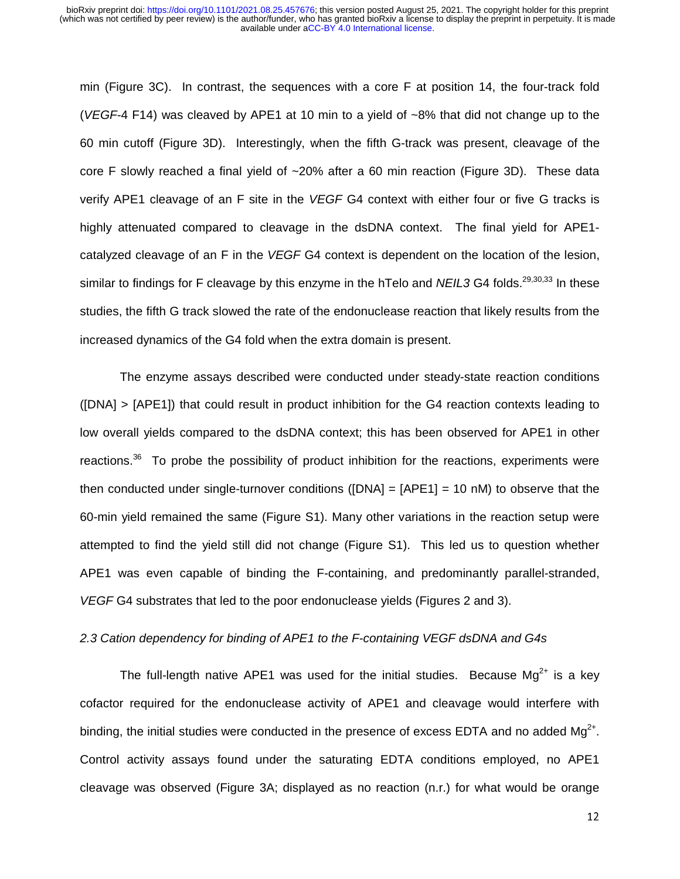min (Figure 3C). In contrast, the sequences with a core F at position 14, the four-track fold (*VEGF*-4 F14) was cleaved by APE1 at 10 min to a yield of ~8% that did not change up to the 60 min cutoff (Figure 3D). Interestingly, when the fifth G-track was present, cleavage of the core F slowly reached a final yield of ~20% after a 60 min reaction (Figure 3D). These data verify APE1 cleavage of an F site in the *VEGF* G4 context with either four or five G tracks is highly attenuated compared to cleavage in the dsDNA context. The final yield for APE1 catalyzed cleavage of an F in the *VEGF* G4 context is dependent on the location of the lesion, similar to findings for F cleavage by this enzyme in the hTelo and *NEIL3* G4 folds.<sup>29,30,33</sup> In these studies, the fifth G track slowed the rate of the endonuclease reaction that likely results from the increased dynamics of the G4 fold when the extra domain is present.

 The enzyme assays described were conducted under steady-state reaction conditions ([DNA] > [APE1]) that could result in product inhibition for the G4 reaction contexts leading to low overall yields compared to the dsDNA context; this has been observed for APE1 in other reactions.<sup>36</sup> To probe the possibility of product inhibition for the reactions, experiments were then conducted under single-turnover conditions ( $[DNA] = [APE1] = 10$  nM) to observe that the 60-min yield remained the same (Figure S1). Many other variations in the reaction setup were attempted to find the yield still did not change (Figure S1). This led us to question whether APE1 was even capable of binding the F-containing, and predominantly parallel-stranded, *VEGF* G4 substrates that led to the poor endonuclease yields (Figures 2 and 3).

### *2.3 Cation dependency for binding of APE1 to the F-containing VEGF dsDNA and G4s*

The full-length native APE1 was used for the initial studies. Because Mg<sup>2+</sup> is a key cofactor required for the endonuclease activity of APE1 and cleavage would interfere with binding, the initial studies were conducted in the presence of excess EDTA and no added  $Mg^{2+}$ . Control activity assays found under the saturating EDTA conditions employed, no APE1 cleavage was observed (Figure 3A; displayed as no reaction (n.r.) for what would be orange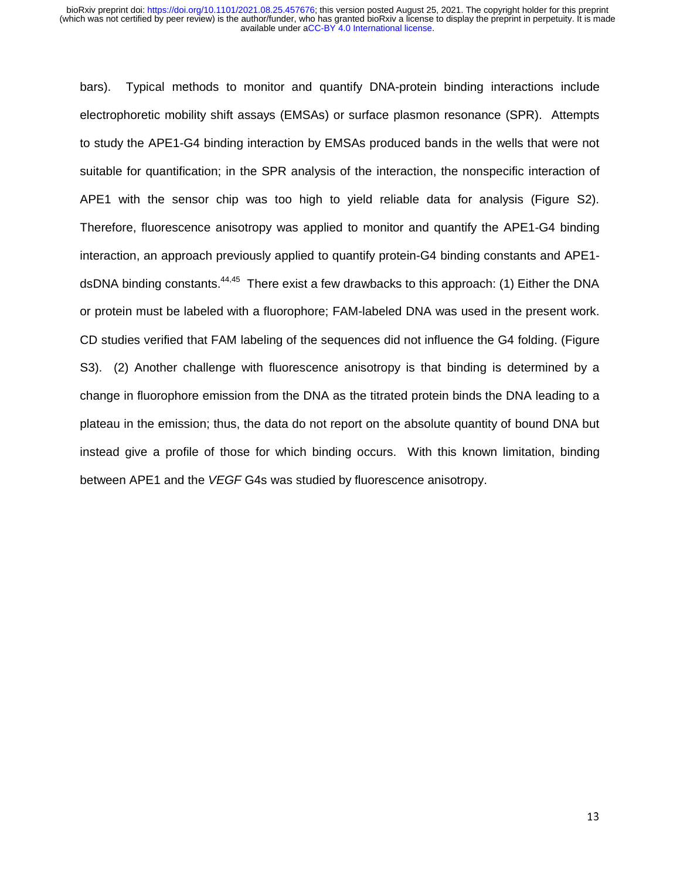bars). Typical methods to monitor and quantify DNA-protein binding interactions include electrophoretic mobility shift assays (EMSAs) or surface plasmon resonance (SPR). Attempts to study the APE1-G4 binding interaction by EMSAs produced bands in the wells that were not suitable for quantification; in the SPR analysis of the interaction, the nonspecific interaction of APE1 with the sensor chip was too high to yield reliable data for analysis (Figure S2). Therefore, fluorescence anisotropy was applied to monitor and quantify the APE1-G4 binding interaction, an approach previously applied to quantify protein-G4 binding constants and APE1 dsDNA binding constants.<sup>44,45</sup> There exist a few drawbacks to this approach: (1) Either the DNA or protein must be labeled with a fluorophore; FAM-labeled DNA was used in the present work. CD studies verified that FAM labeling of the sequences did not influence the G4 folding. (Figure S3). (2) Another challenge with fluorescence anisotropy is that binding is determined by a change in fluorophore emission from the DNA as the titrated protein binds the DNA leading to a plateau in the emission; thus, the data do not report on the absolute quantity of bound DNA but instead give a profile of those for which binding occurs. With this known limitation, binding between APE1 and the *VEGF* G4s was studied by fluorescence anisotropy.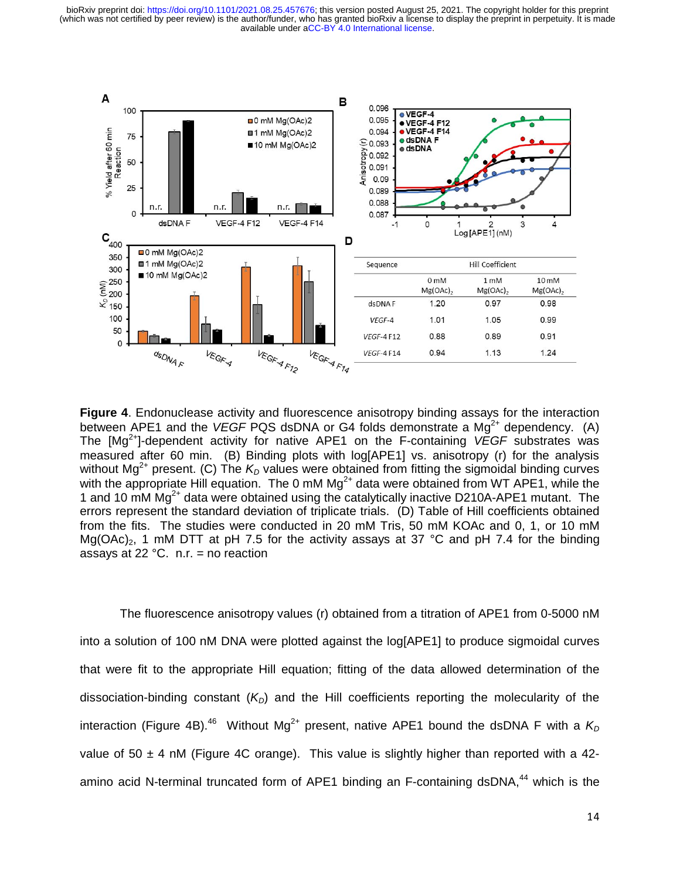

**Figure 4**. Endonuclease activity and fluorescence anisotropy binding assays for the interaction between APE1 and the *VEGF* PQS dsDNA or G4 folds demonstrate a Mg<sup>2+</sup> dependency. (A) The [Mg<sup>2+</sup>]-dependent activity for native APE1 on the F-containing *VEGF* substrates was measured after 60 min. (B) Binding plots with log[APE1] vs. anisotropy (r) for the analysis without Mg<sup>2+</sup> present. (C) The  $K_D$  values were obtained from fitting the sigmoidal binding curves with the appropriate Hill equation. The 0 mM  $Mg^{2+}$  data were obtained from WT APE1, while the 1 and 10 mM  $Mg<sup>2+</sup>$  data were obtained using the catalytically inactive D210A-APE1 mutant. The errors represent the standard deviation of triplicate trials. (D) Table of Hill coefficients obtained from the fits. The studies were conducted in 20 mM Tris, 50 mM KOAc and 0, 1, or 10 mM Mg(OAc)<sub>2</sub>, 1 mM DTT at pH 7.5 for the activity assays at 37 °C and pH 7.4 for the binding assays at 22  $^{\circ}$ C. n.r. = no reaction

The fluorescence anisotropy values (r) obtained from a titration of APE1 from 0-5000 nM into a solution of 100 nM DNA were plotted against the log[APE1] to produce sigmoidal curves that were fit to the appropriate Hill equation; fitting of the data allowed determination of the dissociation-binding constant  $(K<sub>D</sub>)$  and the Hill coefficients reporting the molecularity of the interaction (Figure 4B).<sup>46</sup> Without Mg<sup>2+</sup> present, native APE1 bound the dsDNA F with a  $K<sub>D</sub>$ value of  $50 \pm 4$  nM (Figure 4C orange). This value is slightly higher than reported with a 42amino acid N-terminal truncated form of APE1 binding an F-containing dsDNA.<sup>44</sup> which is the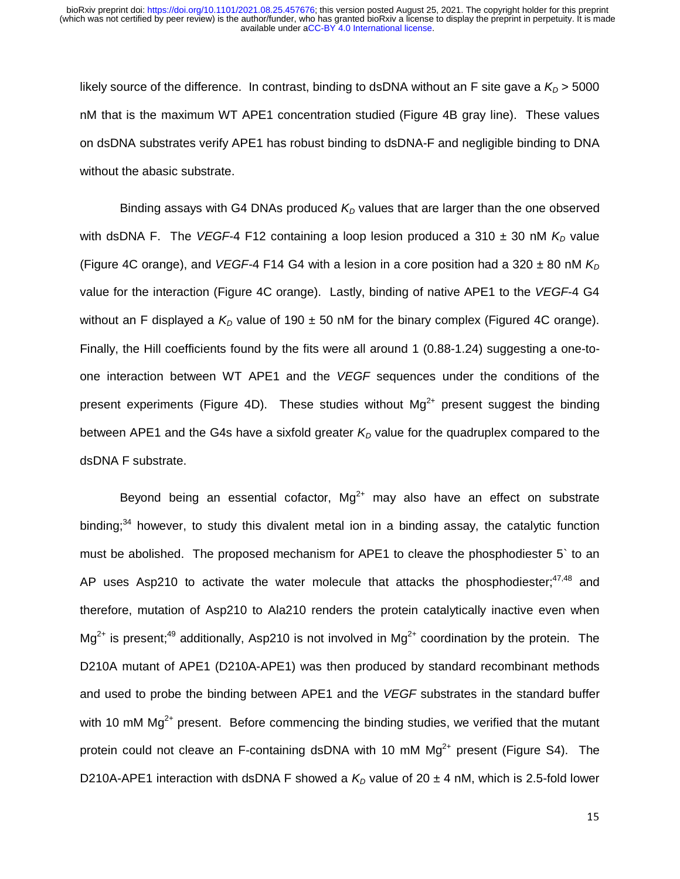likely source of the difference. In contrast, binding to dsDNA without an F site gave a  $K_D$  > 5000 nM that is the maximum WT APE1 concentration studied (Figure 4B gray line). These values on dsDNA substrates verify APE1 has robust binding to dsDNA-F and negligible binding to DNA without the abasic substrate.

Binding assays with G4 DNAs produced  $K<sub>D</sub>$  values that are larger than the one observed with dsDNA F. The VEGF-4 F12 containing a loop lesion produced a 310  $\pm$  30 nM  $K_D$  value (Figure 4C orange), and *VEGF-*4 F14 G4 with a lesion in a core position had a 320 ± 80 nM  $K<sub>D</sub>$ value for the interaction (Figure 4C orange). Lastly, binding of native APE1 to the *VEGF*-4 G4 without an F displayed a  $K<sub>D</sub>$  value of 190  $\pm$  50 nM for the binary complex (Figured 4C orange). Finally, the Hill coefficients found by the fits were all around 1 (0.88-1.24) suggesting a one-toone interaction between WT APE1 and the *VEGF* sequences under the conditions of the present experiments (Figure 4D). These studies without  $Mq^{2+}$  present suggest the binding between APE1 and the G4s have a sixfold greater  $K<sub>D</sub>$  value for the quadruplex compared to the dsDNA F substrate.

Beyond being an essential cofactor,  $Mg^{2+}$  may also have an effect on substrate binding;<sup>34</sup> however, to study this divalent metal ion in a binding assay, the catalytic function must be abolished. The proposed mechanism for APE1 to cleave the phosphodiester 5` to an AP uses Asp210 to activate the water molecule that attacks the phosphodiester; $47,48$  and therefore, mutation of Asp210 to Ala210 renders the protein catalytically inactive even when  $Ma^{2+}$  is present;<sup>49</sup> additionally, Asp210 is not involved in Mg<sup>2+</sup> coordination by the protein. The D210A mutant of APE1 (D210A-APE1) was then produced by standard recombinant methods and used to probe the binding between APE1 and the *VEGF* substrates in the standard buffer with 10 mM  $Mg<sup>2+</sup>$  present. Before commencing the binding studies, we verified that the mutant protein could not cleave an F-containing dsDNA with 10 mM  $Mg^{2+}$  present (Figure S4). The D210A-APE1 interaction with dsDNA F showed a  $K_D$  value of 20  $\pm$  4 nM, which is 2.5-fold lower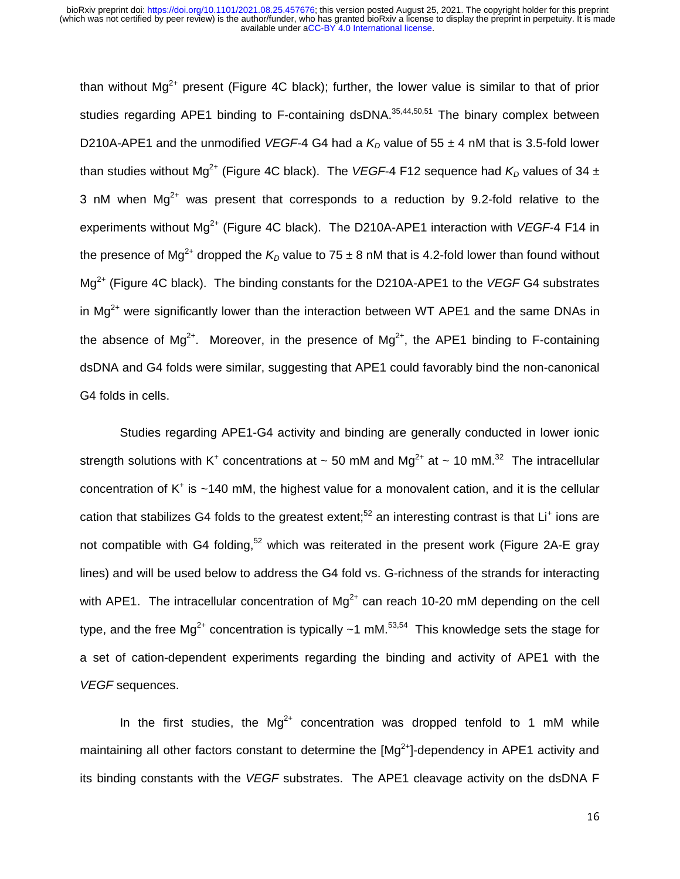than without  $Mg^{2+}$  present (Figure 4C black); further, the lower value is similar to that of prior studies regarding APE1 binding to F-containing dsDNA. $35,44,50,51$  The binary complex between D210A-APE1 and the unmodified *VEGF*-4 G4 had a  $K<sub>D</sub>$  value of 55  $\pm$  4 nM that is 3.5-fold lower than studies without Mg<sup>2+</sup> (Figure 4C black). The *VEGF*-4 F12 sequence had  $K<sub>D</sub>$  values of 34 ± 3 nM when  $Mq^{2+}$  was present that corresponds to a reduction by 9.2-fold relative to the experiments without Mg<sup>2+</sup> (Figure 4C black). The D210A-APE1 interaction with *VEGF*-4 F14 in the presence of Mg<sup>2+</sup> dropped the  $K_D$  value to 75  $\pm$  8 nM that is 4.2-fold lower than found without Mg2+ (Figure 4C black). The binding constants for the D210A-APE1 to the *VEGF* G4 substrates in  $Mg^{2+}$  were significantly lower than the interaction between WT APE1 and the same DNAs in the absence of  $Mq^{2+}$ . Moreover, in the presence of  $Mq^{2+}$ , the APE1 binding to F-containing dsDNA and G4 folds were similar, suggesting that APE1 could favorably bind the non-canonical G4 folds in cells.

 Studies regarding APE1-G4 activity and binding are generally conducted in lower ionic strength solutions with K<sup>+</sup> concentrations at ~ 50 mM and Mg<sup>2+</sup> at ~ 10 mM.<sup>32</sup> The intracellular concentration of  $K^+$  is ~140 mM, the highest value for a monovalent cation, and it is the cellular cation that stabilizes G4 folds to the greatest extent;<sup>52</sup> an interesting contrast is that Li<sup>+</sup> ions are not compatible with G4 folding,<sup>52</sup> which was reiterated in the present work (Figure 2A-E gray lines) and will be used below to address the G4 fold vs. G-richness of the strands for interacting with APE1. The intracellular concentration of  $Mq^{2+}$  can reach 10-20 mM depending on the cell type, and the free  $\text{Ma}^{2+}$  concentration is typically  $\sim$ 1 mM.<sup>53,54</sup> This knowledge sets the stage for a set of cation-dependent experiments regarding the binding and activity of APE1 with the *VEGF* sequences.

In the first studies, the  $Mq^{2+}$  concentration was dropped tenfold to 1 mM while maintaining all other factors constant to determine the  $[Mg^{2+}]$ -dependency in APE1 activity and its binding constants with the *VEGF* substrates. The APE1 cleavage activity on the dsDNA F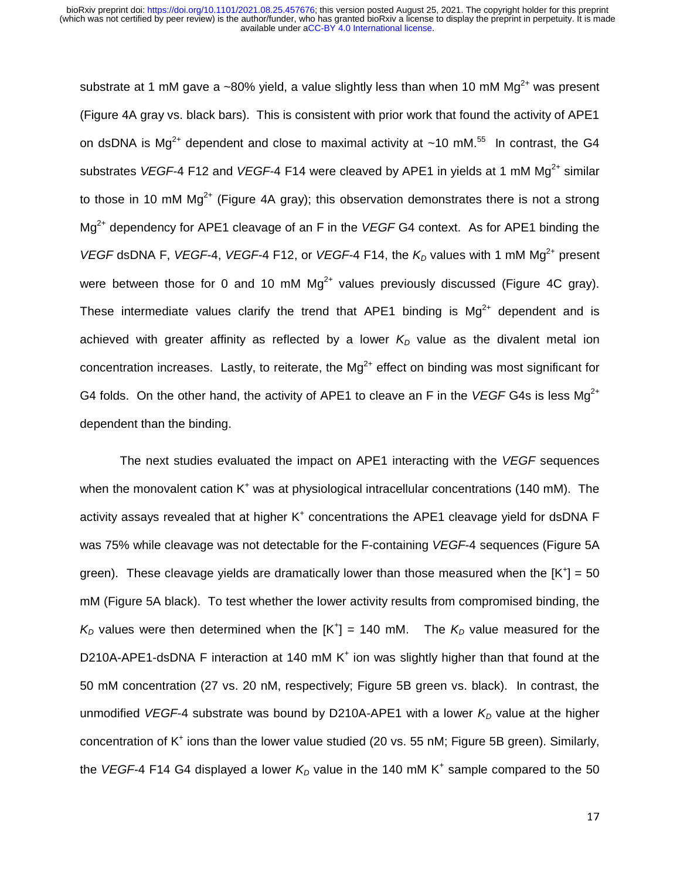substrate at 1 mM gave a ~80% yield, a value slightly less than when 10 mM  $Mg^{2+}$  was present (Figure 4A gray vs. black bars). This is consistent with prior work that found the activity of APE1 on dsDNA is Mg<sup>2+</sup> dependent and close to maximal activity at  $\sim$ 10 mM.<sup>55</sup> In contrast, the G4 substrates *VEGF*-4 F12 and *VEGF*-4 F14 were cleaved by APE1 in yields at 1 mM Mg<sup>2+</sup> similar to those in 10 mM  $Mg^{2+}$  (Figure 4A gray); this observation demonstrates there is not a strong Mg2+ dependency for APE1 cleavage of an F in the *VEGF* G4 context. As for APE1 binding the *VEGF* dsDNA F, *VEGF*-4, *VEGF*-4 F12, or *VEGF*-4 F14, the  $K<sub>D</sub>$  values with 1 mM Mg<sup>2+</sup> present were between those for 0 and 10 mM  $Ma^{2+}$  values previously discussed (Figure 4C gray). These intermediate values clarify the trend that APE1 binding is  $Mg^{2+}$  dependent and is achieved with greater affinity as reflected by a lower  $K_D$  value as the divalent metal ion concentration increases. Lastly, to reiterate, the  $Mg^{2+}$  effect on binding was most significant for G4 folds. On the other hand, the activity of APE1 to cleave an F in the *VEGF* G4s is less Mg<sup>2+</sup> dependent than the binding.

The next studies evaluated the impact on APE1 interacting with the *VEGF* sequences when the monovalent cation K<sup>+</sup> was at physiological intracellular concentrations (140 mM). The activity assays revealed that at higher  $K^+$  concentrations the APE1 cleavage yield for dsDNA F was 75% while cleavage was not detectable for the F-containing *VEGF*-4 sequences (Figure 5A green). These cleavage yields are dramatically lower than those measured when the  $[K^+] = 50$ mM (Figure 5A black). To test whether the lower activity results from compromised binding, the  $K_D$  values were then determined when the  $[K^+] = 140$  mM. The  $K_D$  value measured for the D210A-APE1-dsDNA F interaction at 140 mM  $K<sup>+</sup>$  ion was slightly higher than that found at the 50 mM concentration (27 vs. 20 nM, respectively; Figure 5B green vs. black). In contrast, the unmodified *VEGF*-4 substrate was bound by D210A-APE1 with a lower  $K<sub>D</sub>$  value at the higher concentration of K<sup>+</sup> ions than the lower value studied (20 vs. 55 nM; Figure 5B green). Similarly, the VEGF-4 F14 G4 displayed a lower  $K_D$  value in the 140 mM K<sup>+</sup> sample compared to the 50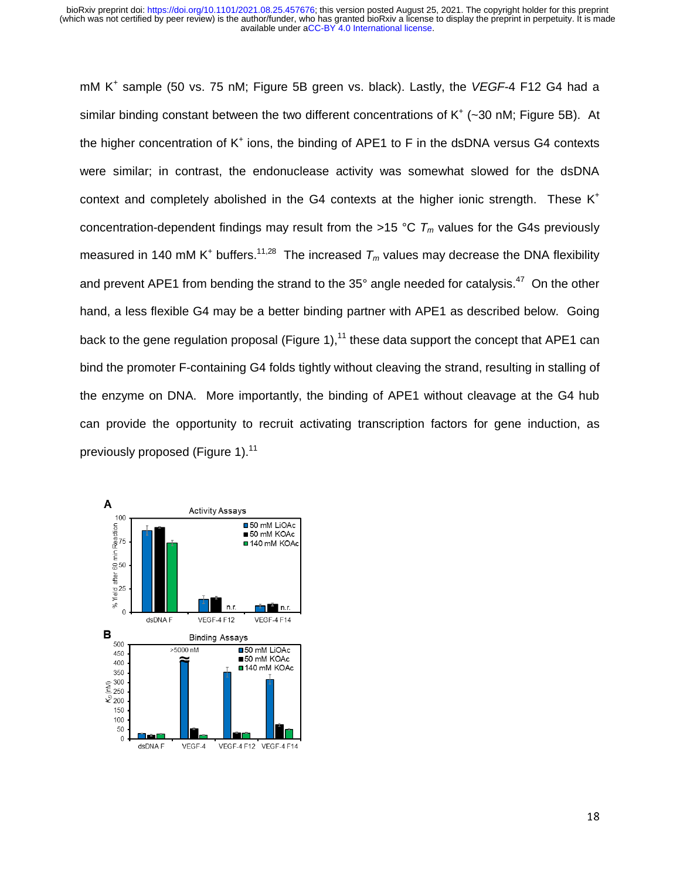mM K<sup>+</sup> sample (50 vs. 75 nM; Figure 5B green vs. black). Lastly, the VEGF-4 F12 G4 had a similar binding constant between the two different concentrations of  $K^+$  (~30 nM; Figure 5B). At the higher concentration of  $K^+$  ions, the binding of APE1 to F in the dsDNA versus G4 contexts were similar; in contrast, the endonuclease activity was somewhat slowed for the dsDNA context and completely abolished in the G4 contexts at the higher ionic strength. These  $K^+$ concentration-dependent findings may result from the >15 °C  $T_m$  values for the G4s previously measured in 140 mM K<sup>+</sup> buffers.<sup>11,28</sup> The increased  $T_m$  values may decrease the DNA flexibility and prevent APE1 from bending the strand to the 35° angle needed for catalysis.<sup>47</sup> On the other hand, a less flexible G4 may be a better binding partner with APE1 as described below. Going back to the gene regulation proposal (Figure 1),<sup>11</sup> these data support the concept that APE1 can bind the promoter F-containing G4 folds tightly without cleaving the strand, resulting in stalling of the enzyme on DNA. More importantly, the binding of APE1 without cleavage at the G4 hub can provide the opportunity to recruit activating transcription factors for gene induction, as previously proposed (Figure 1).<sup>11</sup>

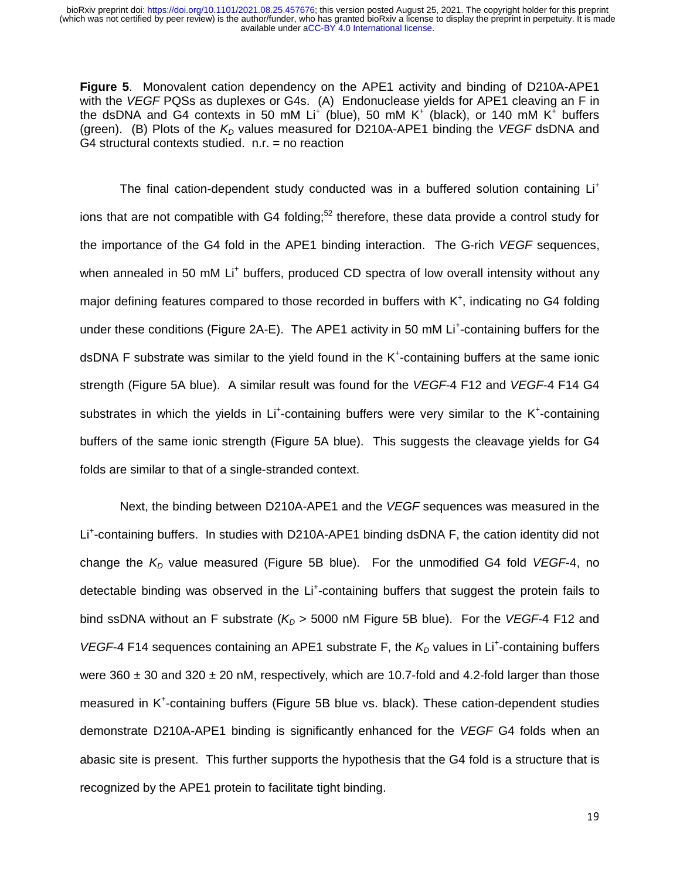**Figure 5**. Monovalent cation dependency on the APE1 activity and binding of D210A-APE1 with the *VEGF* PQSs as duplexes or G4s. (A) Endonuclease yields for APE1 cleaving an F in the dsDNA and G4 contexts in 50 mM Li<sup>+</sup> (blue), 50 mM K<sup>+</sup> (black), or 140 mM K<sup>+</sup> buffers (green). (B) Plots of the  $K<sub>D</sub>$  values measured for D210A-APE1 binding the *VEGF* dsDNA and G4 structural contexts studied. n.r. = no reaction

The final cation-dependent study conducted was in a buffered solution containing Li<sup>+</sup> ions that are not compatible with G4 folding;<sup>52</sup> therefore, these data provide a control study for the importance of the G4 fold in the APE1 binding interaction. The G-rich *VEGF* sequences, when annealed in 50 mM Li<sup>+</sup> buffers, produced CD spectra of low overall intensity without any major defining features compared to those recorded in buffers with  $K^*$ , indicating no G4 folding under these conditions (Figure 2A-E). The APE1 activity in 50 mM Li<sup>+</sup>-containing buffers for the dsDNA F substrate was similar to the yield found in the K<sup>+</sup>-containing buffers at the same ionic strength (Figure 5A blue). A similar result was found for the *VEGF*-4 F12 and *VEGF*-4 F14 G4 substrates in which the yields in Li<sup>+</sup>-containing buffers were very similar to the K<sup>+</sup>-containing buffers of the same ionic strength (Figure 5A blue). This suggests the cleavage yields for G4 folds are similar to that of a single-stranded context.

 Next, the binding between D210A-APE1 and the *VEGF* sequences was measured in the Li<sup>+</sup>-containing buffers. In studies with D210A-APE1 binding dsDNA F, the cation identity did not change the  $K<sub>D</sub>$  value measured (Figure 5B blue). For the unmodified G4 fold *VEGF-*4, no detectable binding was observed in the Li<sup>+</sup>-containing buffers that suggest the protein fails to bind ssDNA without an F substrate  $(K_D > 5000 \text{ nM}$  Figure 5B blue). For the *VEGF*-4 F12 and VEGF-4 F14 sequences containing an APE1 substrate F, the K<sub>D</sub> values in Li<sup>+</sup>-containing buffers were 360  $\pm$  30 and 320  $\pm$  20 nM, respectively, which are 10.7-fold and 4.2-fold larger than those measured in K<sup>+</sup>-containing buffers (Figure 5B blue vs. black). These cation-dependent studies demonstrate D210A-APE1 binding is significantly enhanced for the *VEGF* G4 folds when an abasic site is present. This further supports the hypothesis that the G4 fold is a structure that is recognized by the APE1 protein to facilitate tight binding.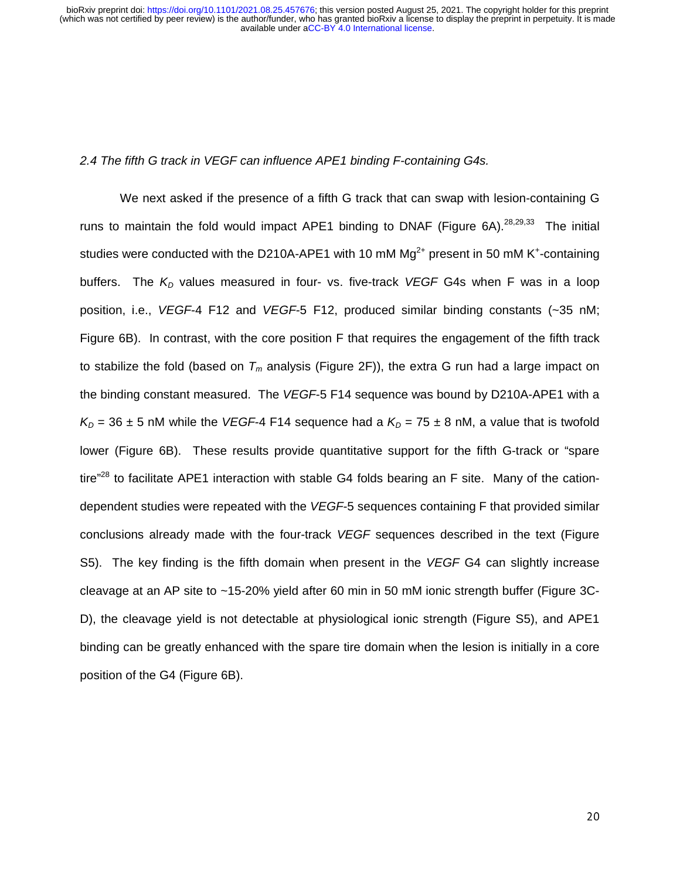#### *2.4 The fifth G track in VEGF can influence APE1 binding F-containing G4s.*

We next asked if the presence of a fifth G track that can swap with lesion-containing G runs to maintain the fold would impact APE1 binding to DNAF (Figure 6A).<sup>28,29,33</sup> The initial studies were conducted with the D210A-APE1 with 10 mM  $Mg^{2+}$  present in 50 mM K<sup>+</sup>-containing buffers. The  $K_D$  values measured in four- vs. five-track *VEGF* G4s when F was in a loop position, i.e., *VEGF*-4 F12 and *VEGF*-5 F12, produced similar binding constants (~35 nM; Figure 6B). In contrast, with the core position F that requires the engagement of the fifth track to stabilize the fold (based on  $T_m$  analysis (Figure 2F)), the extra G run had a large impact on the binding constant measured. The *VEGF*-5 F14 sequence was bound by D210A-APE1 with a  $K_D$  = 36  $\pm$  5 nM while the *VEGF*-4 F14 sequence had a  $K_D$  = 75  $\pm$  8 nM, a value that is twofold lower (Figure 6B). These results provide quantitative support for the fifth G-track or "spare tire"<sup>28</sup> to facilitate APE1 interaction with stable G4 folds bearing an F site. Many of the cationdependent studies were repeated with the *VEGF*-5 sequences containing F that provided similar conclusions already made with the four-track *VEGF* sequences described in the text (Figure S5). The key finding is the fifth domain when present in the *VEGF* G4 can slightly increase cleavage at an AP site to ~15-20% yield after 60 min in 50 mM ionic strength buffer (Figure 3C-D), the cleavage yield is not detectable at physiological ionic strength (Figure S5), and APE1 binding can be greatly enhanced with the spare tire domain when the lesion is initially in a core position of the G4 (Figure 6B).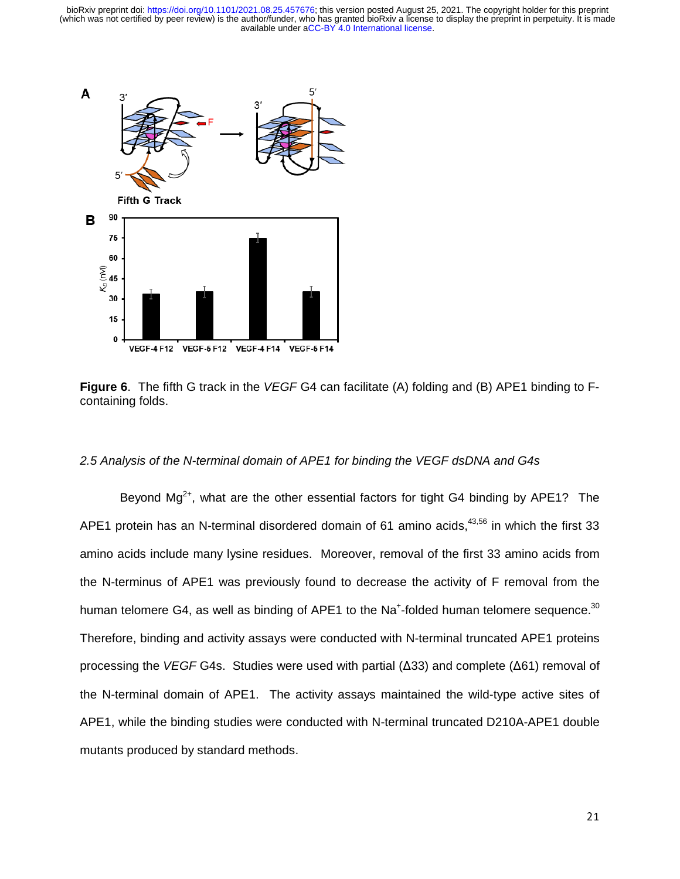

**Figure 6**. The fifth G track in the *VEGF* G4 can facilitate (A) folding and (B) APE1 binding to Fcontaining folds.

#### *2.5 Analysis of the N-terminal domain of APE1 for binding the VEGF dsDNA and G4s*

Bevond Mq<sup>2+</sup>, what are the other essential factors for tight G4 binding by APE1? The APE1 protein has an N-terminal disordered domain of 61 amino acids,  $43,56$  in which the first 33 amino acids include many lysine residues. Moreover, removal of the first 33 amino acids from the N-terminus of APE1 was previously found to decrease the activity of F removal from the human telomere G4, as well as binding of APE1 to the Na<sup>+</sup>-folded human telomere sequence.<sup>30</sup> Therefore, binding and activity assays were conducted with N-terminal truncated APE1 proteins processing the *VEGF* G4s. Studies were used with partial (Δ33) and complete (Δ61) removal of the N-terminal domain of APE1. The activity assays maintained the wild-type active sites of APE1, while the binding studies were conducted with N-terminal truncated D210A-APE1 double mutants produced by standard methods.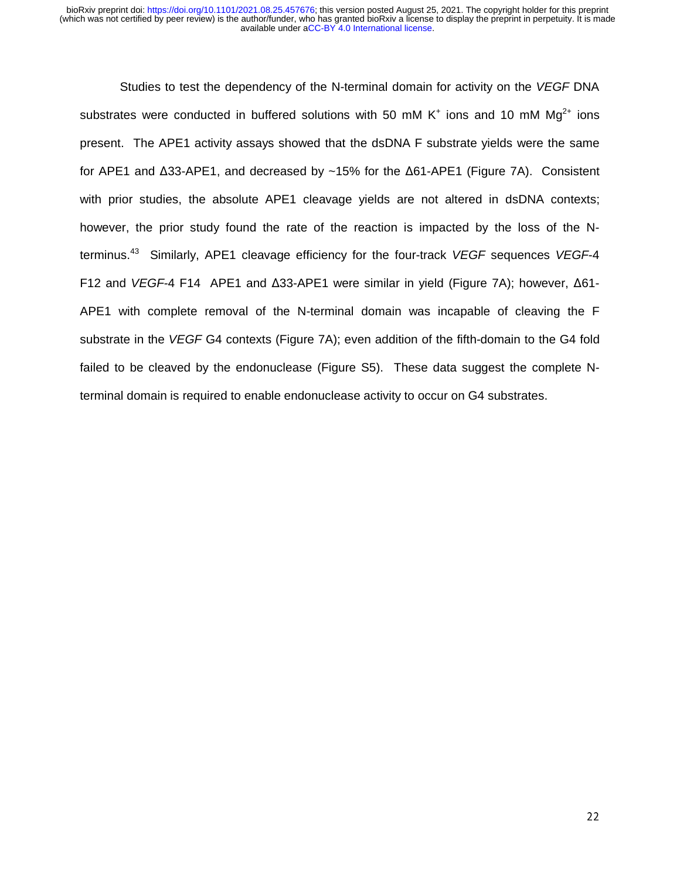Studies to test the dependency of the N-terminal domain for activity on the *VEGF* DNA substrates were conducted in buffered solutions with 50 mM  $K^+$  ions and 10 mM  $Mg^{2+}$  ions present. The APE1 activity assays showed that the dsDNA F substrate yields were the same for APE1 and Δ33-APE1, and decreased by ~15% for the Δ61-APE1 (Figure 7A). Consistent with prior studies, the absolute APE1 cleavage yields are not altered in dsDNA contexts; however, the prior study found the rate of the reaction is impacted by the loss of the Nterminus.43 Similarly, APE1 cleavage efficiency for the four-track *VEGF* sequences *VEGF*-4 F12 and *VEGF*-4 F14 APE1 and Δ33-APE1 were similar in yield (Figure 7A); however, Δ61- APE1 with complete removal of the N-terminal domain was incapable of cleaving the F substrate in the *VEGF* G4 contexts (Figure 7A); even addition of the fifth-domain to the G4 fold failed to be cleaved by the endonuclease (Figure S5). These data suggest the complete Nterminal domain is required to enable endonuclease activity to occur on G4 substrates.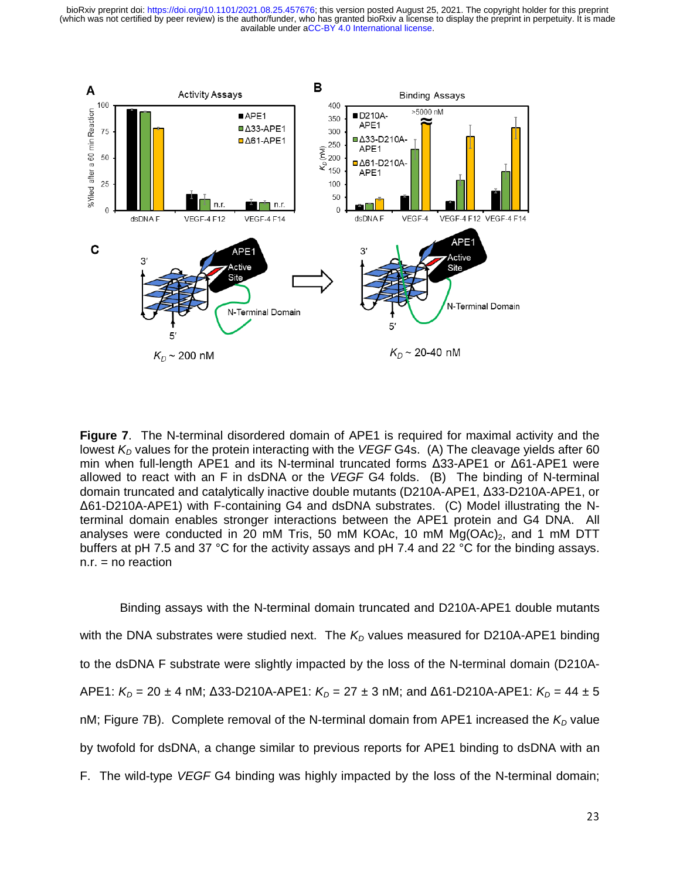

**Figure 7**. The N-terminal disordered domain of APE1 is required for maximal activity and the lowest  $K_D$  values for the protein interacting with the *VEGF* G4s. (A) The cleavage yields after 60 min when full-length APE1 and its N-terminal truncated forms Δ33-APE1 or Δ61-APE1 were allowed to react with an F in dsDNA or the *VEGF* G4 folds. (B) The binding of N-terminal domain truncated and catalytically inactive double mutants (D210A-APE1, Δ33-D210A-APE1, or Δ61-D210A-APE1) with F-containing G4 and dsDNA substrates. (C) Model illustrating the Nterminal domain enables stronger interactions between the APE1 protein and G4 DNA. All analyses were conducted in 20 mM Tris, 50 mM KOAc, 10 mM  $Mg(OAc)<sub>2</sub>$ , and 1 mM DTT buffers at pH 7.5 and 37 °C for the activity assays and pH 7.4 and 22 °C for the binding assays.  $n.r. = no reaction$ 

Binding assays with the N-terminal domain truncated and D210A-APE1 double mutants with the DNA substrates were studied next. The  $K_D$  values measured for D210A-APE1 binding to the dsDNA F substrate were slightly impacted by the loss of the N-terminal domain (D210A-APE1:  $K_D$  = 20 ± 4 nM; Δ33-D210A-APE1:  $K_D$  = 27 ± 3 nM; and Δ61-D210A-APE1:  $K_D$  = 44 ± 5 nM; Figure 7B). Complete removal of the N-terminal domain from APE1 increased the  $K<sub>D</sub>$  value by twofold for dsDNA, a change similar to previous reports for APE1 binding to dsDNA with an F. The wild-type *VEGF* G4 binding was highly impacted by the loss of the N-terminal domain;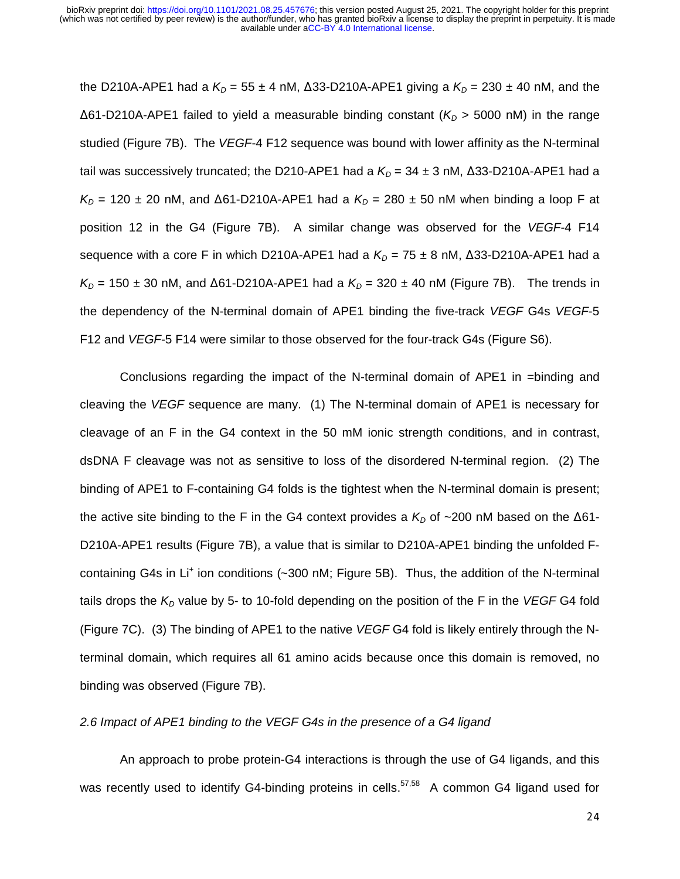the D210A-APE1 had a  $K_D = 55 \pm 4$  nM,  $\Delta$ 33-D210A-APE1 giving a  $K_D = 230 \pm 40$  nM, and the Δ61-D210A-APE1 failed to yield a measurable binding constant (K<sub>D</sub> > 5000 nM) in the range studied (Figure 7B). The *VEGF*-4 F12 sequence was bound with lower affinity as the N-terminal tail was successively truncated; the D210-APE1 had a  $K<sub>D</sub>$  = 34  $\pm$  3 nM,  $\Delta$ 33-D210A-APE1 had a  $K_D$  = 120 ± 20 nM, and  $\Delta$ 61-D210A-APE1 had a  $K_D$  = 280 ± 50 nM when binding a loop F at position 12 in the G4 (Figure 7B). A similar change was observed for the *VEGF*-4 F14 sequence with a core F in which D210A-APE1 had a  $K_D = 75 \pm 8$  nM,  $\triangle$ 33-D210A-APE1 had a  $K_D$  = 150 ± 30 nM, and  $\Delta$ 61-D210A-APE1 had a  $K_D$  = 320 ± 40 nM (Figure 7B). The trends in the dependency of the N-terminal domain of APE1 binding the five-track *VEGF* G4s *VEGF*-5 F12 and *VEGF*-5 F14 were similar to those observed for the four-track G4s (Figure S6).

Conclusions regarding the impact of the N-terminal domain of APE1 in =binding and cleaving the *VEGF* sequence are many. (1) The N-terminal domain of APE1 is necessary for cleavage of an F in the G4 context in the 50 mM ionic strength conditions, and in contrast, dsDNA F cleavage was not as sensitive to loss of the disordered N-terminal region. (2) The binding of APE1 to F-containing G4 folds is the tightest when the N-terminal domain is present; the active site binding to the F in the G4 context provides a  $K<sub>D</sub>$  of ~200 nM based on the  $\Delta 61$ -D210A-APE1 results (Figure 7B), a value that is similar to D210A-APE1 binding the unfolded Fcontaining G4s in Li<sup>+</sup> ion conditions (~300 nM; Figure 5B). Thus, the addition of the N-terminal tails drops the  $K_D$  value by 5- to 10-fold depending on the position of the F in the *VEGF* G4 fold (Figure 7C). (3) The binding of APE1 to the native *VEGF* G4 fold is likely entirely through the Nterminal domain, which requires all 61 amino acids because once this domain is removed, no binding was observed (Figure 7B).

### *2.6 Impact of APE1 binding to the VEGF G4s in the presence of a G4 ligand*

 An approach to probe protein-G4 interactions is through the use of G4 ligands, and this was recently used to identify G4-binding proteins in cells.<sup>57,58</sup> A common G4 ligand used for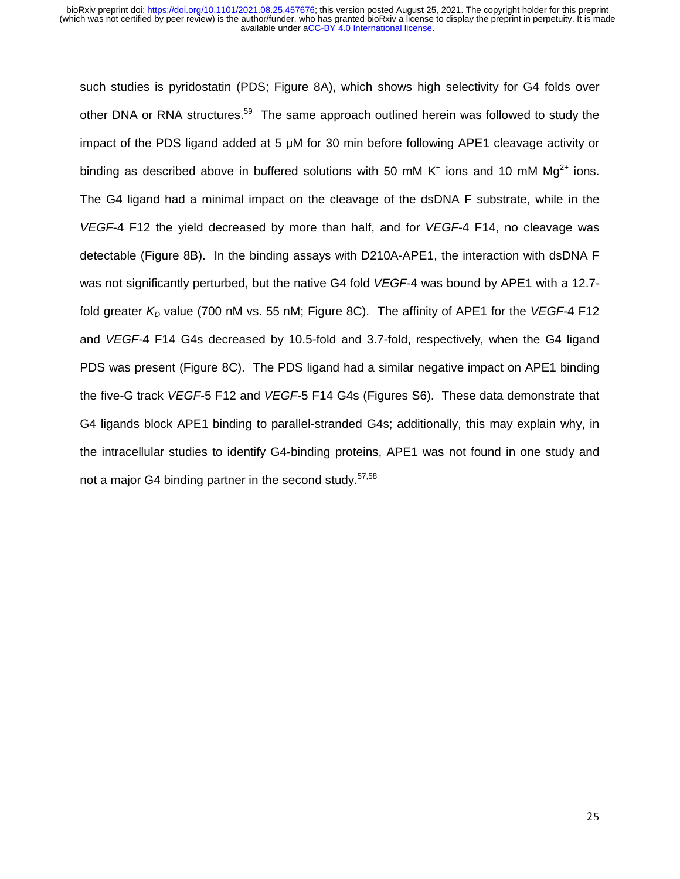such studies is pyridostatin (PDS; Figure 8A), which shows high selectivity for G4 folds over other DNA or RNA structures.<sup>59</sup> The same approach outlined herein was followed to study the impact of the PDS ligand added at 5 μM for 30 min before following APE1 cleavage activity or binding as described above in buffered solutions with 50 mM K<sup>+</sup> ions and 10 mM Mg<sup>2+</sup> ions. The G4 ligand had a minimal impact on the cleavage of the dsDNA F substrate, while in the *VEGF*-4 F12 the yield decreased by more than half, and for *VEGF*-4 F14, no cleavage was detectable (Figure 8B). In the binding assays with D210A-APE1, the interaction with dsDNA F was not significantly perturbed, but the native G4 fold *VEGF*-4 was bound by APE1 with a 12.7 fold greater  $K<sub>D</sub>$  value (700 nM vs. 55 nM; Figure 8C). The affinity of APE1 for the *VEGF*-4 F12 and *VEGF*-4 F14 G4s decreased by 10.5-fold and 3.7-fold, respectively, when the G4 ligand PDS was present (Figure 8C). The PDS ligand had a similar negative impact on APE1 binding the five-G track *VEGF*-5 F12 and *VEGF*-5 F14 G4s (Figures S6). These data demonstrate that G4 ligands block APE1 binding to parallel-stranded G4s; additionally, this may explain why, in the intracellular studies to identify G4-binding proteins, APE1 was not found in one study and not a major G4 binding partner in the second study.<sup>57,58</sup>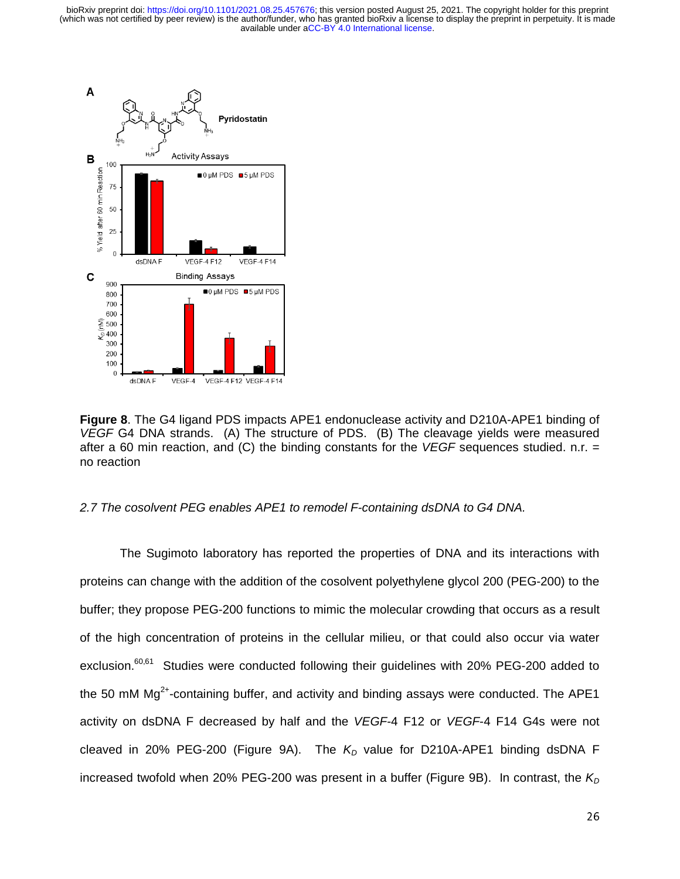

**Figure 8**. The G4 ligand PDS impacts APE1 endonuclease activity and D210A-APE1 binding of *VEGF* G4 DNA strands. (A) The structure of PDS. (B) The cleavage yields were measured after a 60 min reaction, and (C) the binding constants for the *VEGF* sequences studied. n.r. = no reaction

#### *2.7 The cosolvent PEG enables APE1 to remodel F-containing dsDNA to G4 DNA.*

The Sugimoto laboratory has reported the properties of DNA and its interactions with proteins can change with the addition of the cosolvent polyethylene glycol 200 (PEG-200) to the buffer; they propose PEG-200 functions to mimic the molecular crowding that occurs as a result of the high concentration of proteins in the cellular milieu, or that could also occur via water exclusion.<sup>60,61</sup> Studies were conducted following their guidelines with 20% PEG-200 added to the 50 mM  $Mg<sup>2+</sup>$ -containing buffer, and activity and binding assays were conducted. The APE1 activity on dsDNA F decreased by half and the *VEGF*-4 F12 or *VEGF*-4 F14 G4s were not cleaved in 20% PEG-200 (Figure 9A). The K<sub>D</sub> value for D210A-APE1 binding dsDNA F increased twofold when 20% PEG-200 was present in a buffer (Figure 9B). In contrast, the  $K<sub>D</sub>$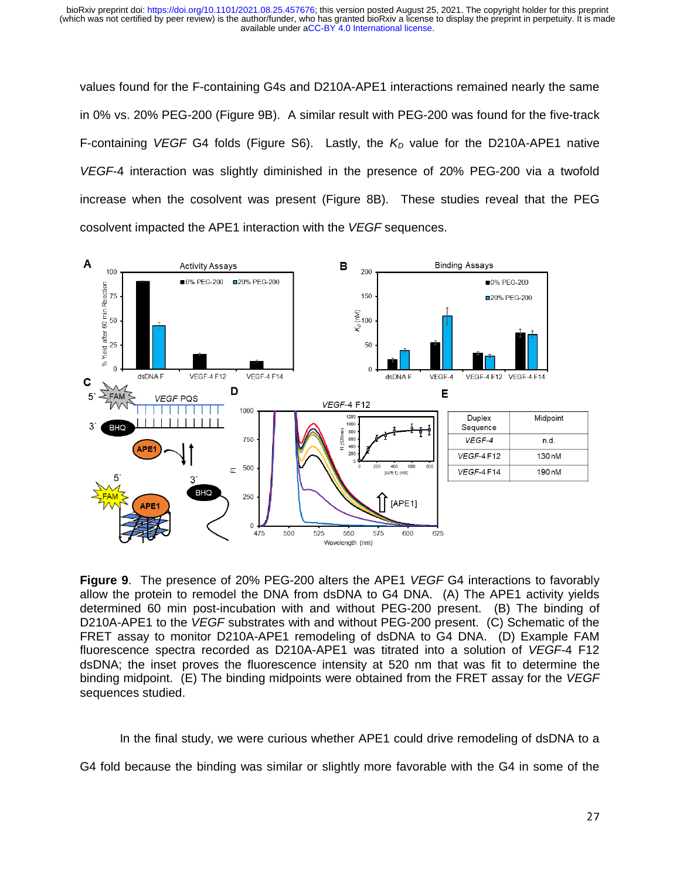values found for the F-containing G4s and D210A-APE1 interactions remained nearly the same in 0% vs. 20% PEG-200 (Figure 9B). A similar result with PEG-200 was found for the five-track F-containing *VEGF* G4 folds (Figure S6). Lastly, the  $K_D$  value for the D210A-APE1 native *VEGF*-4 interaction was slightly diminished in the presence of 20% PEG-200 via a twofold increase when the cosolvent was present (Figure 8B). These studies reveal that the PEG cosolvent impacted the APE1 interaction with the *VEGF* sequences.



**Figure 9**. The presence of 20% PEG-200 alters the APE1 *VEGF* G4 interactions to favorably allow the protein to remodel the DNA from dsDNA to G4 DNA. (A) The APE1 activity yields determined 60 min post-incubation with and without PEG-200 present. (B) The binding of D210A-APE1 to the *VEGF* substrates with and without PEG-200 present. (C) Schematic of the FRET assay to monitor D210A-APE1 remodeling of dsDNA to G4 DNA. (D) Example FAM fluorescence spectra recorded as D210A-APE1 was titrated into a solution of *VEGF*-4 F12 dsDNA; the inset proves the fluorescence intensity at 520 nm that was fit to determine the binding midpoint. (E) The binding midpoints were obtained from the FRET assay for the *VEGF* sequences studied.

In the final study, we were curious whether APE1 could drive remodeling of dsDNA to a

G4 fold because the binding was similar or slightly more favorable with the G4 in some of the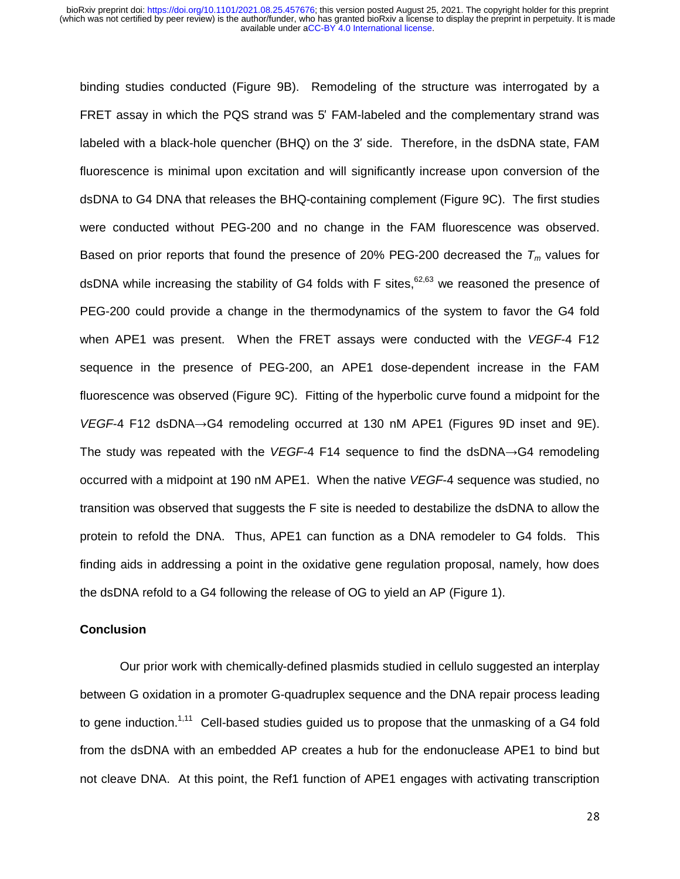binding studies conducted (Figure 9B). Remodeling of the structure was interrogated by a FRET assay in which the PQS strand was 5′ FAM-labeled and the complementary strand was labeled with a black-hole quencher (BHQ) on the 3′ side. Therefore, in the dsDNA state, FAM fluorescence is minimal upon excitation and will significantly increase upon conversion of the dsDNA to G4 DNA that releases the BHQ-containing complement (Figure 9C). The first studies were conducted without PEG-200 and no change in the FAM fluorescence was observed. Based on prior reports that found the presence of 20% PEG-200 decreased the  $T_m$  values for dsDNA while increasing the stability of G4 folds with F sites,  $62,63$  we reasoned the presence of PEG-200 could provide a change in the thermodynamics of the system to favor the G4 fold when APE1 was present. When the FRET assays were conducted with the *VEGF*-4 F12 sequence in the presence of PEG-200, an APE1 dose-dependent increase in the FAM fluorescence was observed (Figure 9C). Fitting of the hyperbolic curve found a midpoint for the *VEGF*-4 F12 dsDNA→G4 remodeling occurred at 130 nM APE1 (Figures 9D inset and 9E). The study was repeated with the *VEGF*-4 F14 sequence to find the dsDNA→G4 remodeling occurred with a midpoint at 190 nM APE1. When the native *VEGF*-4 sequence was studied, no transition was observed that suggests the F site is needed to destabilize the dsDNA to allow the protein to refold the DNA. Thus, APE1 can function as a DNA remodeler to G4 folds. This finding aids in addressing a point in the oxidative gene regulation proposal, namely, how does the dsDNA refold to a G4 following the release of OG to yield an AP (Figure 1).

#### **Conclusion**

 Our prior work with chemically-defined plasmids studied in cellulo suggested an interplay between G oxidation in a promoter G-quadruplex sequence and the DNA repair process leading to gene induction.<sup>1,11</sup> Cell-based studies guided us to propose that the unmasking of a G4 fold from the dsDNA with an embedded AP creates a hub for the endonuclease APE1 to bind but not cleave DNA. At this point, the Ref1 function of APE1 engages with activating transcription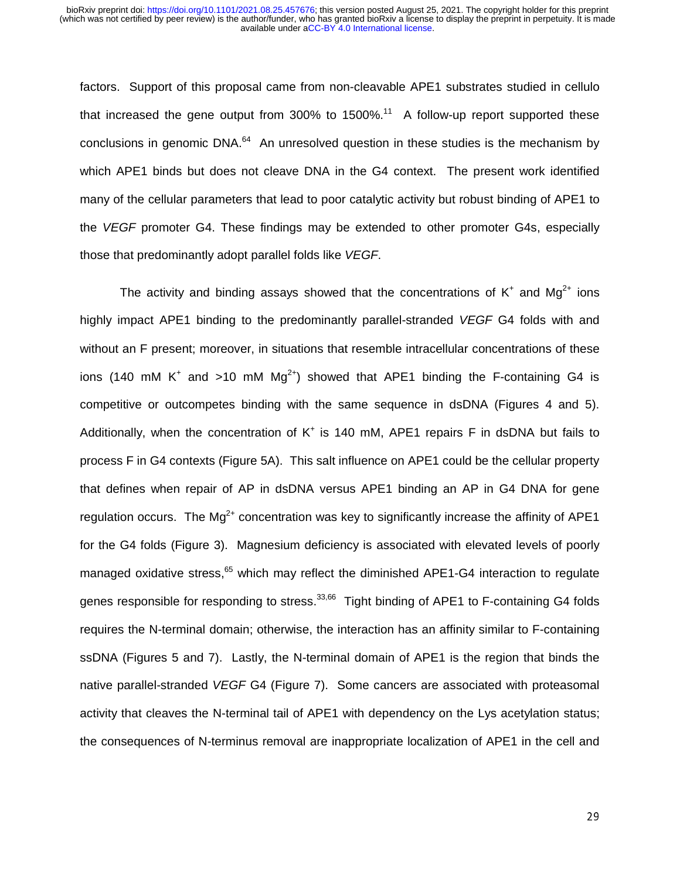factors. Support of this proposal came from non-cleavable APE1 substrates studied in cellulo that increased the gene output from  $300\%$  to  $1500\%$ <sup>11</sup> A follow-up report supported these conclusions in genomic DNA.<sup>64</sup> An unresolved question in these studies is the mechanism by which APE1 binds but does not cleave DNA in the G4 context. The present work identified many of the cellular parameters that lead to poor catalytic activity but robust binding of APE1 to the *VEGF* promoter G4. These findings may be extended to other promoter G4s, especially those that predominantly adopt parallel folds like *VEGF*.

The activity and binding assays showed that the concentrations of  $K^+$  and  $Mg^{2+}$  ions highly impact APE1 binding to the predominantly parallel-stranded *VEGF* G4 folds with and without an F present; moreover, in situations that resemble intracellular concentrations of these ions (140 mM K<sup>+</sup> and >10 mM Mg<sup>2+</sup>) showed that APE1 binding the F-containing G4 is competitive or outcompetes binding with the same sequence in dsDNA (Figures 4 and 5). Additionally, when the concentration of  $K^+$  is 140 mM, APE1 repairs F in dsDNA but fails to process F in G4 contexts (Figure 5A). This salt influence on APE1 could be the cellular property that defines when repair of AP in dsDNA versus APE1 binding an AP in G4 DNA for gene regulation occurs. The  $Ma^{2+}$  concentration was key to significantly increase the affinity of APE1 for the G4 folds (Figure 3). Magnesium deficiency is associated with elevated levels of poorly managed oxidative stress, $65$  which may reflect the diminished APE1-G4 interaction to regulate genes responsible for responding to stress.<sup>33,66</sup> Tight binding of APE1 to F-containing G4 folds requires the N-terminal domain; otherwise, the interaction has an affinity similar to F-containing ssDNA (Figures 5 and 7). Lastly, the N-terminal domain of APE1 is the region that binds the native parallel-stranded *VEGF* G4 (Figure 7). Some cancers are associated with proteasomal activity that cleaves the N-terminal tail of APE1 with dependency on the Lys acetylation status; the consequences of N-terminus removal are inappropriate localization of APE1 in the cell and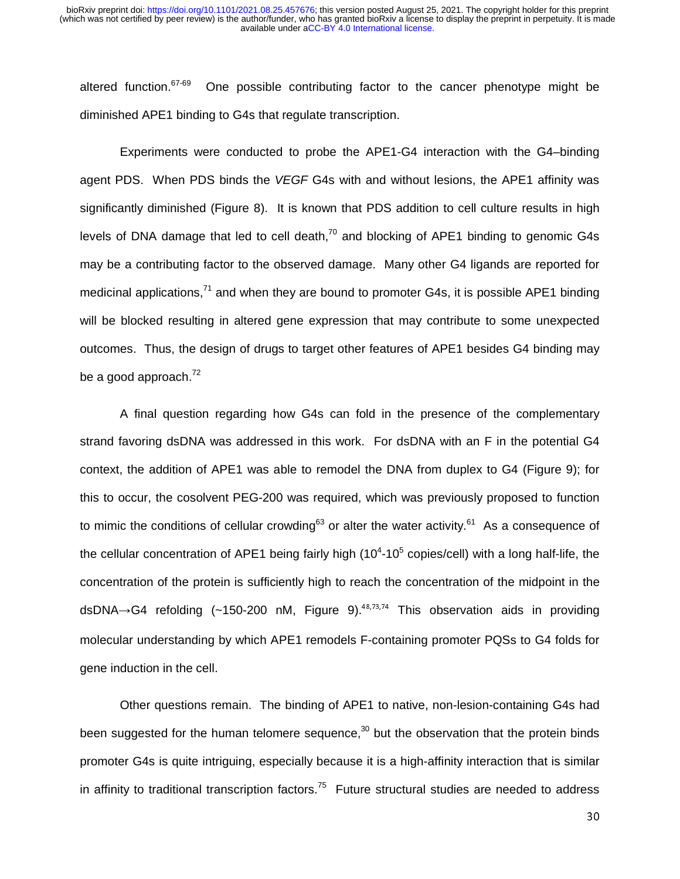altered function.  $67-69$  One possible contributing factor to the cancer phenotype might be diminished APE1 binding to G4s that regulate transcription.

Experiments were conducted to probe the APE1-G4 interaction with the G4–binding agent PDS. When PDS binds the *VEGF* G4s with and without lesions, the APE1 affinity was significantly diminished (Figure 8). It is known that PDS addition to cell culture results in high levels of DNA damage that led to cell death,<sup>70</sup> and blocking of APE1 binding to genomic G4s may be a contributing factor to the observed damage. Many other G4 ligands are reported for medicinal applications, $^{71}$  and when they are bound to promoter G4s, it is possible APE1 binding will be blocked resulting in altered gene expression that may contribute to some unexpected outcomes. Thus, the design of drugs to target other features of APE1 besides G4 binding may be a good approach. $^{72}$ 

 A final question regarding how G4s can fold in the presence of the complementary strand favoring dsDNA was addressed in this work. For dsDNA with an F in the potential G4 context, the addition of APE1 was able to remodel the DNA from duplex to G4 (Figure 9); for this to occur, the cosolvent PEG-200 was required, which was previously proposed to function to mimic the conditions of cellular crowding<sup>63</sup> or alter the water activity.<sup>61</sup> As a consequence of the cellular concentration of APE1 being fairly high (10<sup>4</sup>-10<sup>5</sup> copies/cell) with a long half-life, the concentration of the protein is sufficiently high to reach the concentration of the midpoint in the dsDNA $\rightarrow$ G4 refolding (~150-200 nM, Figure 9).<sup>48,73,74</sup> This observation aids in providing molecular understanding by which APE1 remodels F-containing promoter PQSs to G4 folds for gene induction in the cell.

 Other questions remain. The binding of APE1 to native, non-lesion-containing G4s had been suggested for the human telomere sequence, $30$  but the observation that the protein binds promoter G4s is quite intriguing, especially because it is a high-affinity interaction that is similar in affinity to traditional transcription factors.<sup>75</sup> Future structural studies are needed to address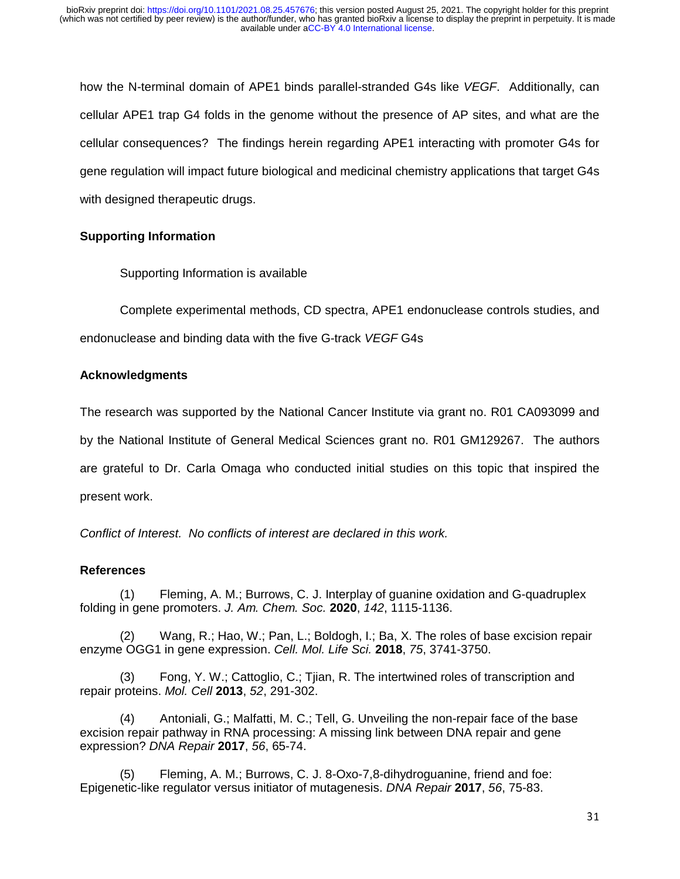how the N-terminal domain of APE1 binds parallel-stranded G4s like *VEGF*. Additionally, can cellular APE1 trap G4 folds in the genome without the presence of AP sites, and what are the cellular consequences? The findings herein regarding APE1 interacting with promoter G4s for gene regulation will impact future biological and medicinal chemistry applications that target G4s with designed therapeutic drugs.

## **Supporting Information**

Supporting Information is available

 Complete experimental methods, CD spectra, APE1 endonuclease controls studies, and endonuclease and binding data with the five G-track *VEGF* G4s

## **Acknowledgments**

The research was supported by the National Cancer Institute via grant no. R01 CA093099 and by the National Institute of General Medical Sciences grant no. R01 GM129267. The authors are grateful to Dr. Carla Omaga who conducted initial studies on this topic that inspired the present work.

*Conflict of Interest. No conflicts of interest are declared in this work.* 

### **References**

 (1) Fleming, A. M.; Burrows, C. J. Interplay of guanine oxidation and G-quadruplex folding in gene promoters. *J. Am. Chem. Soc.* **2020**, *142*, 1115-1136.

 (2) Wang, R.; Hao, W.; Pan, L.; Boldogh, I.; Ba, X. The roles of base excision repair enzyme OGG1 in gene expression. *Cell. Mol. Life Sci.* **2018**, *75*, 3741-3750.

Fong, Y. W.; Cattoglio, C.; Tjian, R. The intertwined roles of transcription and repair proteins. *Mol. Cell* **2013**, *52*, 291-302.

 (4) Antoniali, G.; Malfatti, M. C.; Tell, G. Unveiling the non-repair face of the base excision repair pathway in RNA processing: A missing link between DNA repair and gene expression? *DNA Repair* **2017**, *56*, 65-74.

 (5) Fleming, A. M.; Burrows, C. J. 8-Oxo-7,8-dihydroguanine, friend and foe: Epigenetic-like regulator versus initiator of mutagenesis. *DNA Repair* **2017**, *56*, 75-83.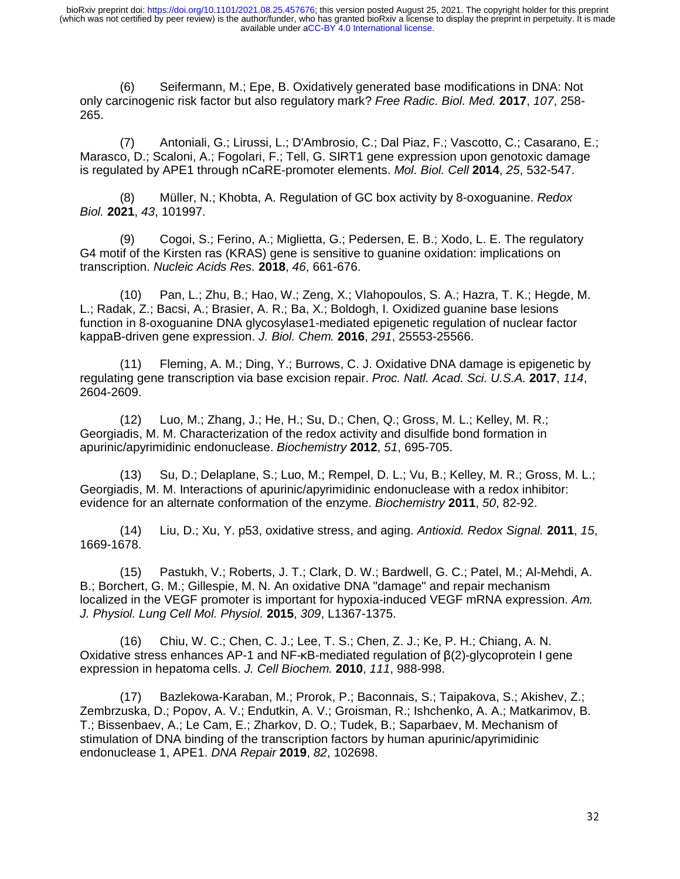(6) Seifermann, M.; Epe, B. Oxidatively generated base modifications in DNA: Not only carcinogenic risk factor but also regulatory mark? *Free Radic. Biol. Med.* **2017**, *107*, 258- 265.

 (7) Antoniali, G.; Lirussi, L.; D'Ambrosio, C.; Dal Piaz, F.; Vascotto, C.; Casarano, E.; Marasco, D.; Scaloni, A.; Fogolari, F.; Tell, G. SIRT1 gene expression upon genotoxic damage is regulated by APE1 through nCaRE-promoter elements. *Mol. Biol. Cell* **2014**, *25*, 532-547.

 (8) Müller, N.; Khobta, A. Regulation of GC box activity by 8-oxoguanine. *Redox Biol.* **2021**, *43*, 101997.

 (9) Cogoi, S.; Ferino, A.; Miglietta, G.; Pedersen, E. B.; Xodo, L. E. The regulatory G4 motif of the Kirsten ras (KRAS) gene is sensitive to guanine oxidation: implications on transcription. *Nucleic Acids Res.* **2018**, *46*, 661-676.

 (10) Pan, L.; Zhu, B.; Hao, W.; Zeng, X.; Vlahopoulos, S. A.; Hazra, T. K.; Hegde, M. L.; Radak, Z.; Bacsi, A.; Brasier, A. R.; Ba, X.; Boldogh, I. Oxidized guanine base lesions function in 8-oxoguanine DNA glycosylase1-mediated epigenetic regulation of nuclear factor kappaB-driven gene expression. *J. Biol. Chem.* **2016**, *291*, 25553-25566.

 (11) Fleming, A. M.; Ding, Y.; Burrows, C. J. Oxidative DNA damage is epigenetic by regulating gene transcription via base excision repair. *Proc. Natl. Acad. Sci. U.S.A.* **2017**, *114*, 2604-2609.

 (12) Luo, M.; Zhang, J.; He, H.; Su, D.; Chen, Q.; Gross, M. L.; Kelley, M. R.; Georgiadis, M. M. Characterization of the redox activity and disulfide bond formation in apurinic/apyrimidinic endonuclease. *Biochemistry* **2012**, *51*, 695-705.

 (13) Su, D.; Delaplane, S.; Luo, M.; Rempel, D. L.; Vu, B.; Kelley, M. R.; Gross, M. L.; Georgiadis, M. M. Interactions of apurinic/apyrimidinic endonuclease with a redox inhibitor: evidence for an alternate conformation of the enzyme. *Biochemistry* **2011**, *50*, 82-92.

 (14) Liu, D.; Xu, Y. p53, oxidative stress, and aging. *Antioxid. Redox Signal.* **2011**, *15*, 1669-1678.

 (15) Pastukh, V.; Roberts, J. T.; Clark, D. W.; Bardwell, G. C.; Patel, M.; Al-Mehdi, A. B.; Borchert, G. M.; Gillespie, M. N. An oxidative DNA "damage" and repair mechanism localized in the VEGF promoter is important for hypoxia-induced VEGF mRNA expression. *Am. J. Physiol. Lung Cell Mol. Physiol.* **2015**, *309*, L1367-1375.

 (16) Chiu, W. C.; Chen, C. J.; Lee, T. S.; Chen, Z. J.; Ke, P. H.; Chiang, A. N. Oxidative stress enhances AP-1 and NF-κB-mediated regulation of β(2)-glycoprotein I gene expression in hepatoma cells. *J. Cell Biochem.* **2010**, *111*, 988-998.

 (17) Bazlekowa-Karaban, M.; Prorok, P.; Baconnais, S.; Taipakova, S.; Akishev, Z.; Zembrzuska, D.; Popov, A. V.; Endutkin, A. V.; Groisman, R.; Ishchenko, A. A.; Matkarimov, B. T.; Bissenbaev, A.; Le Cam, E.; Zharkov, D. O.; Tudek, B.; Saparbaev, M. Mechanism of stimulation of DNA binding of the transcription factors by human apurinic/apyrimidinic endonuclease 1, APE1. *DNA Repair* **2019**, *82*, 102698.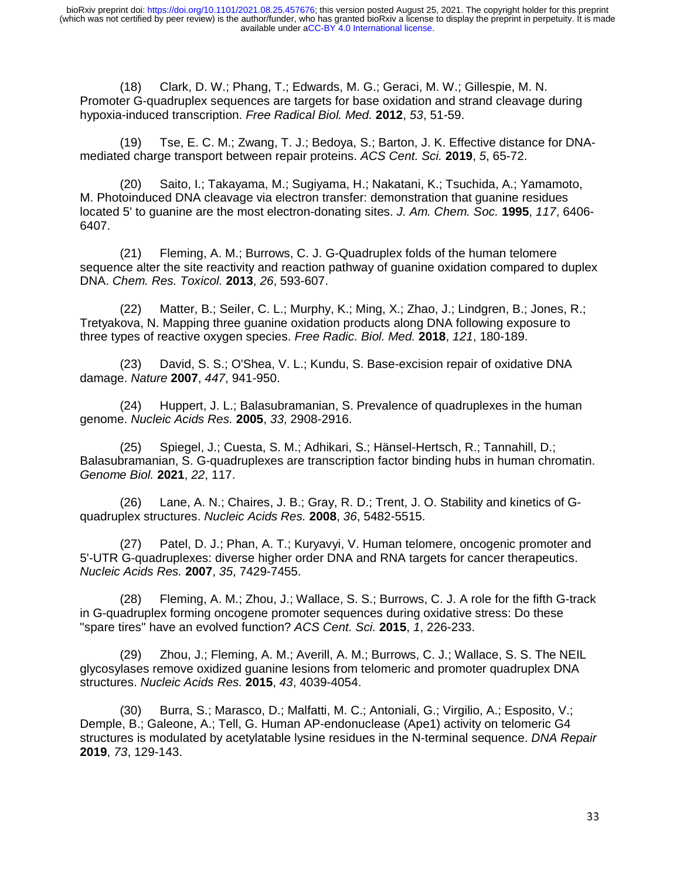(18) Clark, D. W.; Phang, T.; Edwards, M. G.; Geraci, M. W.; Gillespie, M. N. Promoter G-quadruplex sequences are targets for base oxidation and strand cleavage during hypoxia-induced transcription. *Free Radical Biol. Med.* **2012**, *53*, 51-59.

 (19) Tse, E. C. M.; Zwang, T. J.; Bedoya, S.; Barton, J. K. Effective distance for DNAmediated charge transport between repair proteins. *ACS Cent. Sci.* **2019**, *5*, 65-72.

 (20) Saito, I.; Takayama, M.; Sugiyama, H.; Nakatani, K.; Tsuchida, A.; Yamamoto, M. Photoinduced DNA cleavage via electron transfer: demonstration that guanine residues located 5' to guanine are the most electron-donating sites. *J. Am. Chem. Soc.* **1995**, *117*, 6406- 6407.

 (21) Fleming, A. M.; Burrows, C. J. G-Quadruplex folds of the human telomere sequence alter the site reactivity and reaction pathway of guanine oxidation compared to duplex DNA. *Chem. Res. Toxicol.* **2013**, *26*, 593-607.

 (22) Matter, B.; Seiler, C. L.; Murphy, K.; Ming, X.; Zhao, J.; Lindgren, B.; Jones, R.; Tretyakova, N. Mapping three guanine oxidation products along DNA following exposure to three types of reactive oxygen species. *Free Radic. Biol. Med.* **2018**, *121*, 180-189.

 (23) David, S. S.; O'Shea, V. L.; Kundu, S. Base-excision repair of oxidative DNA damage. *Nature* **2007**, *447*, 941-950.

 (24) Huppert, J. L.; Balasubramanian, S. Prevalence of quadruplexes in the human genome. *Nucleic Acids Res.* **2005**, *33*, 2908-2916.

 (25) Spiegel, J.; Cuesta, S. M.; Adhikari, S.; Hänsel-Hertsch, R.; Tannahill, D.; Balasubramanian, S. G-quadruplexes are transcription factor binding hubs in human chromatin. *Genome Biol.* **2021**, *22*, 117.

 (26) Lane, A. N.; Chaires, J. B.; Gray, R. D.; Trent, J. O. Stability and kinetics of Gquadruplex structures. *Nucleic Acids Res.* **2008**, *36*, 5482-5515.

 (27) Patel, D. J.; Phan, A. T.; Kuryavyi, V. Human telomere, oncogenic promoter and 5'-UTR G-quadruplexes: diverse higher order DNA and RNA targets for cancer therapeutics. *Nucleic Acids Res.* **2007**, *35*, 7429-7455.

 (28) Fleming, A. M.; Zhou, J.; Wallace, S. S.; Burrows, C. J. A role for the fifth G-track in G-quadruplex forming oncogene promoter sequences during oxidative stress: Do these "spare tires" have an evolved function? *ACS Cent. Sci.* **2015**, *1*, 226-233.

 (29) Zhou, J.; Fleming, A. M.; Averill, A. M.; Burrows, C. J.; Wallace, S. S. The NEIL glycosylases remove oxidized guanine lesions from telomeric and promoter quadruplex DNA structures. *Nucleic Acids Res.* **2015**, *43*, 4039-4054.

 (30) Burra, S.; Marasco, D.; Malfatti, M. C.; Antoniali, G.; Virgilio, A.; Esposito, V.; Demple, B.; Galeone, A.; Tell, G. Human AP-endonuclease (Ape1) activity on telomeric G4 structures is modulated by acetylatable lysine residues in the N-terminal sequence. *DNA Repair* **2019**, *73*, 129-143.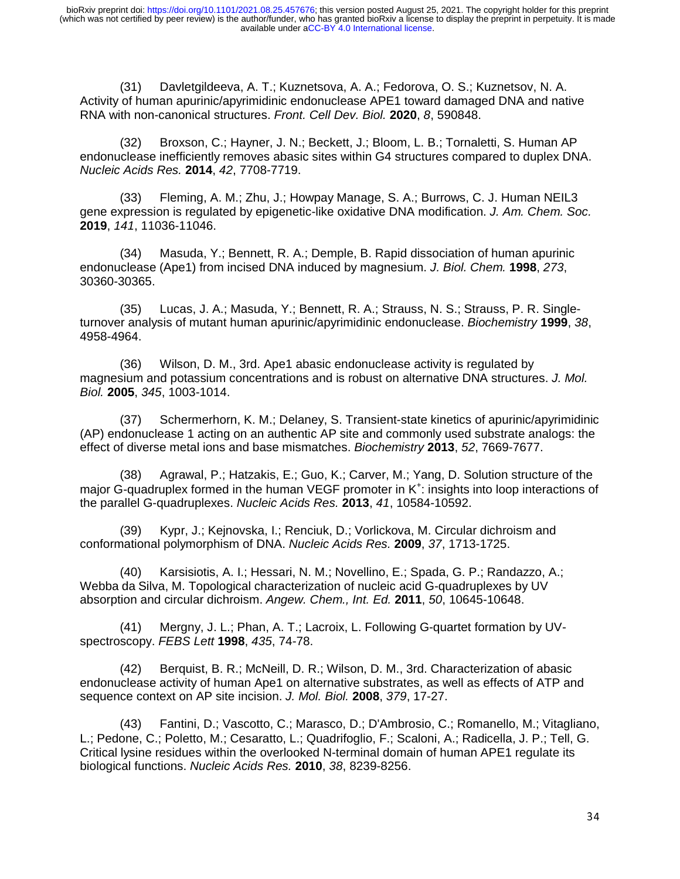(31) Davletgildeeva, A. T.; Kuznetsova, A. A.; Fedorova, O. S.; Kuznetsov, N. A. Activity of human apurinic/apyrimidinic endonuclease APE1 toward damaged DNA and native RNA with non-canonical structures. *Front. Cell Dev. Biol.* **2020**, *8*, 590848.

 (32) Broxson, C.; Hayner, J. N.; Beckett, J.; Bloom, L. B.; Tornaletti, S. Human AP endonuclease inefficiently removes abasic sites within G4 structures compared to duplex DNA. *Nucleic Acids Res.* **2014**, *42*, 7708-7719.

 (33) Fleming, A. M.; Zhu, J.; Howpay Manage, S. A.; Burrows, C. J. Human NEIL3 gene expression is regulated by epigenetic-like oxidative DNA modification. *J. Am. Chem. Soc.* **2019**, *141*, 11036-11046.

 (34) Masuda, Y.; Bennett, R. A.; Demple, B. Rapid dissociation of human apurinic endonuclease (Ape1) from incised DNA induced by magnesium. *J. Biol. Chem.* **1998**, *273*, 30360-30365.

 (35) Lucas, J. A.; Masuda, Y.; Bennett, R. A.; Strauss, N. S.; Strauss, P. R. Singleturnover analysis of mutant human apurinic/apyrimidinic endonuclease. *Biochemistry* **1999**, *38*, 4958-4964.

 (36) Wilson, D. M., 3rd. Ape1 abasic endonuclease activity is regulated by magnesium and potassium concentrations and is robust on alternative DNA structures. *J. Mol. Biol.* **2005**, *345*, 1003-1014.

 (37) Schermerhorn, K. M.; Delaney, S. Transient-state kinetics of apurinic/apyrimidinic (AP) endonuclease 1 acting on an authentic AP site and commonly used substrate analogs: the effect of diverse metal ions and base mismatches. *Biochemistry* **2013**, *52*, 7669-7677.

 (38) Agrawal, P.; Hatzakis, E.; Guo, K.; Carver, M.; Yang, D. Solution structure of the major G-quadruplex formed in the human VEGF promoter in K<sup>+</sup>: insights into loop interactions of the parallel G-quadruplexes. *Nucleic Acids Res.* **2013**, *41*, 10584-10592.

 (39) Kypr, J.; Kejnovska, I.; Renciuk, D.; Vorlickova, M. Circular dichroism and conformational polymorphism of DNA. *Nucleic Acids Res.* **2009**, *37*, 1713-1725.

 (40) Karsisiotis, A. I.; Hessari, N. M.; Novellino, E.; Spada, G. P.; Randazzo, A.; Webba da Silva, M. Topological characterization of nucleic acid G-quadruplexes by UV absorption and circular dichroism. *Angew. Chem., Int. Ed.* **2011**, *50*, 10645-10648.

 (41) Mergny, J. L.; Phan, A. T.; Lacroix, L. Following G-quartet formation by UVspectroscopy. *FEBS Lett* **1998**, *435*, 74-78.

 (42) Berquist, B. R.; McNeill, D. R.; Wilson, D. M., 3rd. Characterization of abasic endonuclease activity of human Ape1 on alternative substrates, as well as effects of ATP and sequence context on AP site incision. *J. Mol. Biol.* **2008**, *379*, 17-27.

 (43) Fantini, D.; Vascotto, C.; Marasco, D.; D'Ambrosio, C.; Romanello, M.; Vitagliano, L.; Pedone, C.; Poletto, M.; Cesaratto, L.; Quadrifoglio, F.; Scaloni, A.; Radicella, J. P.; Tell, G. Critical lysine residues within the overlooked N-terminal domain of human APE1 regulate its biological functions. *Nucleic Acids Res.* **2010**, *38*, 8239-8256.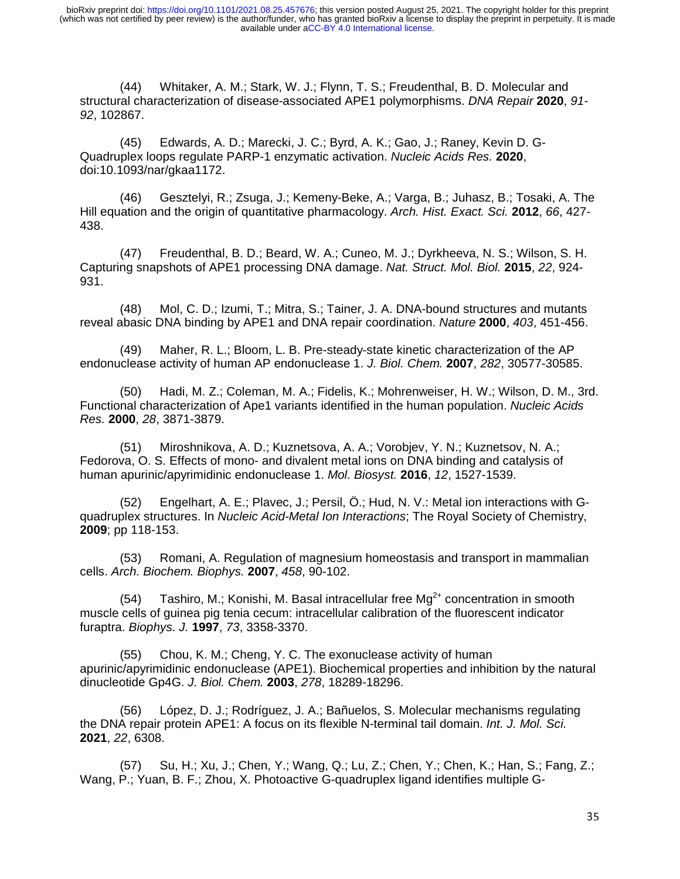(44) Whitaker, A. M.; Stark, W. J.; Flynn, T. S.; Freudenthal, B. D. Molecular and structural characterization of disease-associated APE1 polymorphisms. *DNA Repair* **2020**, *91- 92*, 102867.

 (45) Edwards, A. D.; Marecki, J. C.; Byrd, A. K.; Gao, J.; Raney, Kevin D. G-Quadruplex loops regulate PARP-1 enzymatic activation. *Nucleic Acids Res.* **2020**, doi:10.1093/nar/gkaa1172.

 (46) Gesztelyi, R.; Zsuga, J.; Kemeny-Beke, A.; Varga, B.; Juhasz, B.; Tosaki, A. The Hill equation and the origin of quantitative pharmacology. *Arch. Hist. Exact. Sci.* **2012**, *66*, 427- 438.

 (47) Freudenthal, B. D.; Beard, W. A.; Cuneo, M. J.; Dyrkheeva, N. S.; Wilson, S. H. Capturing snapshots of APE1 processing DNA damage. *Nat. Struct. Mol. Biol.* **2015**, *22*, 924- 931.

 (48) Mol, C. D.; Izumi, T.; Mitra, S.; Tainer, J. A. DNA-bound structures and mutants reveal abasic DNA binding by APE1 and DNA repair coordination. *Nature* **2000**, *403*, 451-456.

 (49) Maher, R. L.; Bloom, L. B. Pre-steady-state kinetic characterization of the AP endonuclease activity of human AP endonuclease 1. *J. Biol. Chem.* **2007**, *282*, 30577-30585.

 (50) Hadi, M. Z.; Coleman, M. A.; Fidelis, K.; Mohrenweiser, H. W.; Wilson, D. M., 3rd. Functional characterization of Ape1 variants identified in the human population. *Nucleic Acids Res.* **2000**, *28*, 3871-3879.

 (51) Miroshnikova, A. D.; Kuznetsova, A. A.; Vorobjev, Y. N.; Kuznetsov, N. A.; Fedorova, O. S. Effects of mono- and divalent metal ions on DNA binding and catalysis of human apurinic/apyrimidinic endonuclease 1. *Mol. Biosyst.* **2016**, *12*, 1527-1539.

 (52) Engelhart, A. E.; Plavec, J.; Persil, Ö.; Hud, N. V.: Metal ion interactions with Gquadruplex structures. In *Nucleic Acid-Metal Ion Interactions*; The Royal Society of Chemistry, **2009**; pp 118-153.

 (53) Romani, A. Regulation of magnesium homeostasis and transport in mammalian cells. *Arch. Biochem. Biophys.* **2007**, *458*, 90-102.

(54) Tashiro, M.; Konishi, M. Basal intracellular free  $Mg^{2+}$  concentration in smooth muscle cells of guinea pig tenia cecum: intracellular calibration of the fluorescent indicator furaptra. *Biophys. J.* **1997**, *73*, 3358-3370.

 (55) Chou, K. M.; Cheng, Y. C. The exonuclease activity of human apurinic/apyrimidinic endonuclease (APE1). Biochemical properties and inhibition by the natural dinucleotide Gp4G. *J. Biol. Chem.* **2003**, *278*, 18289-18296.

 (56) López, D. J.; Rodríguez, J. A.; Bañuelos, S. Molecular mechanisms regulating the DNA repair protein APE1: A focus on its flexible N-terminal tail domain. *Int. J. Mol. Sci.* **2021**, *22*, 6308.

 (57) Su, H.; Xu, J.; Chen, Y.; Wang, Q.; Lu, Z.; Chen, Y.; Chen, K.; Han, S.; Fang, Z.; Wang, P.; Yuan, B. F.; Zhou, X. Photoactive G-quadruplex ligand identifies multiple G-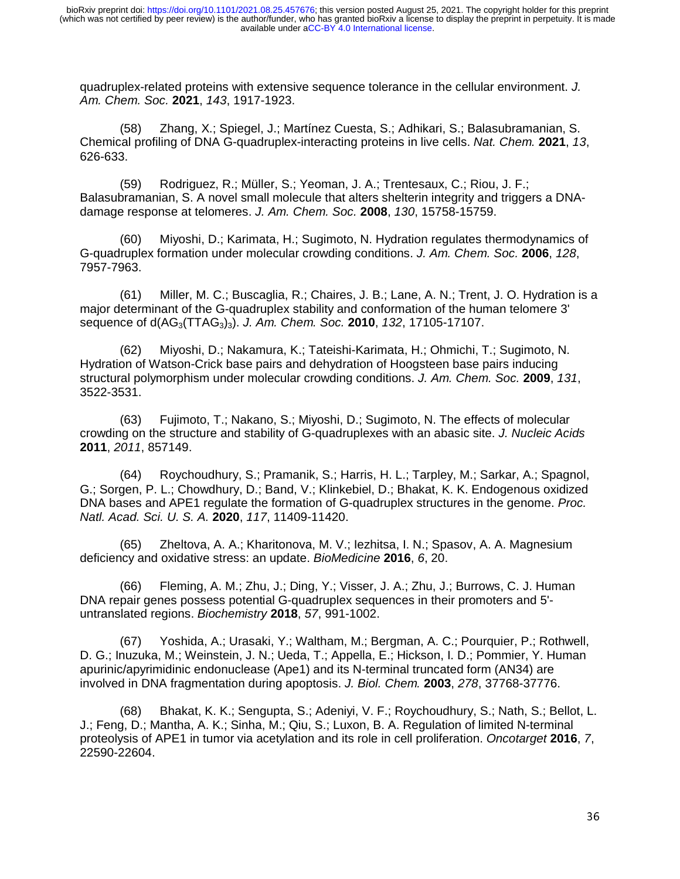quadruplex-related proteins with extensive sequence tolerance in the cellular environment. *J. Am. Chem. Soc.* **2021**, *143*, 1917-1923.

 (58) Zhang, X.; Spiegel, J.; Martínez Cuesta, S.; Adhikari, S.; Balasubramanian, S. Chemical profiling of DNA G-quadruplex-interacting proteins in live cells. *Nat. Chem.* **2021**, *13*, 626-633.

 (59) Rodriguez, R.; Müller, S.; Yeoman, J. A.; Trentesaux, C.; Riou, J. F.; Balasubramanian, S. A novel small molecule that alters shelterin integrity and triggers a DNAdamage response at telomeres. *J. Am. Chem. Soc.* **2008**, *130*, 15758-15759.

 (60) Miyoshi, D.; Karimata, H.; Sugimoto, N. Hydration regulates thermodynamics of G-quadruplex formation under molecular crowding conditions. *J. Am. Chem. Soc.* **2006**, *128*, 7957-7963.

 (61) Miller, M. C.; Buscaglia, R.; Chaires, J. B.; Lane, A. N.; Trent, J. O. Hydration is a major determinant of the G-quadruplex stability and conformation of the human telomere 3' sequence of d(AG3(TTAG3)3). *J. Am. Chem. Soc.* **2010**, *132*, 17105-17107.

 (62) Miyoshi, D.; Nakamura, K.; Tateishi-Karimata, H.; Ohmichi, T.; Sugimoto, N. Hydration of Watson-Crick base pairs and dehydration of Hoogsteen base pairs inducing structural polymorphism under molecular crowding conditions. *J. Am. Chem. Soc.* **2009**, *131*, 3522-3531.

 (63) Fujimoto, T.; Nakano, S.; Miyoshi, D.; Sugimoto, N. The effects of molecular crowding on the structure and stability of G-quadruplexes with an abasic site. *J. Nucleic Acids* **2011**, *2011*, 857149.

 (64) Roychoudhury, S.; Pramanik, S.; Harris, H. L.; Tarpley, M.; Sarkar, A.; Spagnol, G.; Sorgen, P. L.; Chowdhury, D.; Band, V.; Klinkebiel, D.; Bhakat, K. K. Endogenous oxidized DNA bases and APE1 regulate the formation of G-quadruplex structures in the genome. *Proc. Natl. Acad. Sci. U. S. A.* **2020**, *117*, 11409-11420.

 (65) Zheltova, A. A.; Kharitonova, M. V.; Iezhitsa, I. N.; Spasov, A. A. Magnesium deficiency and oxidative stress: an update. *BioMedicine* **2016**, *6*, 20.

 (66) Fleming, A. M.; Zhu, J.; Ding, Y.; Visser, J. A.; Zhu, J.; Burrows, C. J. Human DNA repair genes possess potential G-quadruplex sequences in their promoters and 5' untranslated regions. *Biochemistry* **2018**, *57*, 991-1002.

 (67) Yoshida, A.; Urasaki, Y.; Waltham, M.; Bergman, A. C.; Pourquier, P.; Rothwell, D. G.; Inuzuka, M.; Weinstein, J. N.; Ueda, T.; Appella, E.; Hickson, I. D.; Pommier, Y. Human apurinic/apyrimidinic endonuclease (Ape1) and its N-terminal truncated form (AN34) are involved in DNA fragmentation during apoptosis. *J. Biol. Chem.* **2003**, *278*, 37768-37776.

 (68) Bhakat, K. K.; Sengupta, S.; Adeniyi, V. F.; Roychoudhury, S.; Nath, S.; Bellot, L. J.; Feng, D.; Mantha, A. K.; Sinha, M.; Qiu, S.; Luxon, B. A. Regulation of limited N-terminal proteolysis of APE1 in tumor via acetylation and its role in cell proliferation. *Oncotarget* **2016**, *7*, 22590-22604.